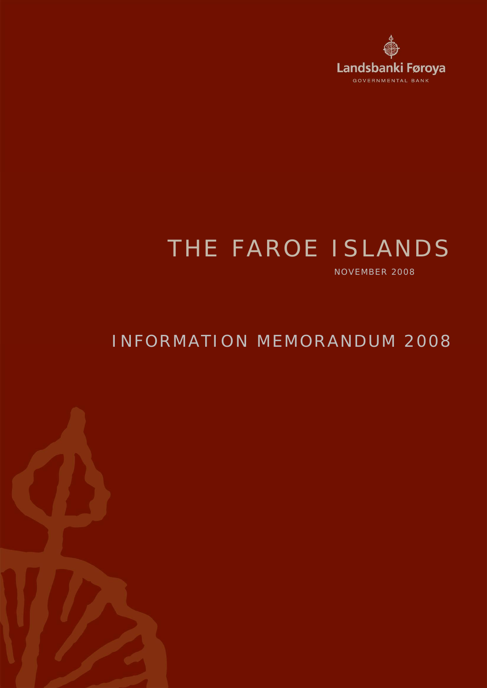

# THE FAROE ISLANDS

NOVEMBER 2008

## INFORMATION MEMORANDUM 2008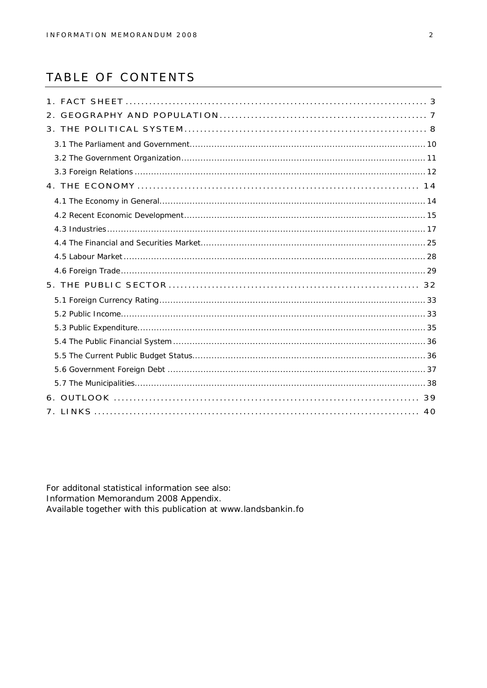## TABLE OF CONTENTS

For additonal statistical information see also: Information Memorandum 2008 Appendix. Available together with this publication at www.landsbankin.fo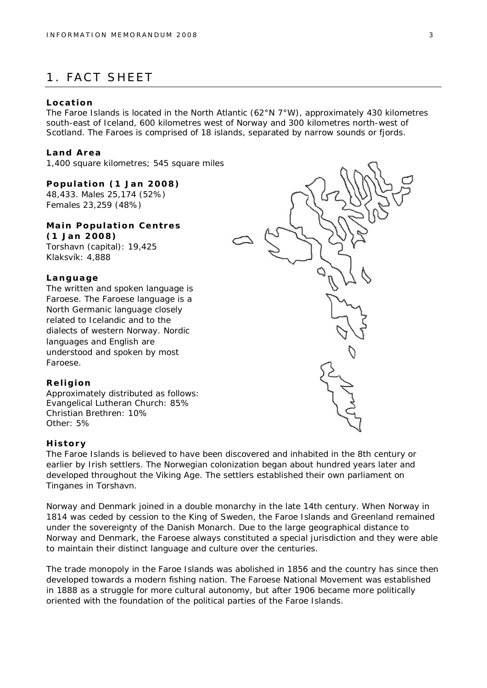## 1. FACT SHEET

#### **Location**

The Faroe Islands is located in the North Atlantic (62°N 7°W), approximately 430 kilometres south-east of Iceland, 600 kilometres west of Norway and 300 kilometres north-west of Scotland. The Faroes is comprised of 18 islands, separated by narrow sounds or fjords.

#### **Land Area**

1,400 square kilometres; 545 square miles

**Population (1 Jan 2008)** 48,433. Males 25,174 (52%) Females 23,259 (48%)

**Main Population Centres (1 Jan 2008)** Torshavn (capital): 19,425 Klaksvík: 4,888

#### **Language**

The written and spoken language is Faroese. The Faroese language is a North Germanic language closely related to Icelandic and to the dialects of western Norway. Nordic languages and English are understood and spoken by most Faroese.

#### **Religion**

Approximately distributed as follows: Evangelical Lutheran Church: 85% Christian Brethren: 10% Other: 5%

#### **History**

The Faroe Islands is believed to have been discovered and inhabited in the 8th century or earlier by Irish settlers. The Norwegian colonization began about hundred years later and developed throughout the Viking Age. The settlers established their own parliament on Tinganes in Torshavn.

Norway and Denmark joined in a double monarchy in the late 14th century. When Norway in 1814 was ceded by cession to the King of Sweden, the Faroe Islands and Greenland remained under the sovereignty of the Danish Monarch. Due to the large geographical distance to Norway and Denmark, the Faroese always constituted a special jurisdiction and they were able to maintain their distinct language and culture over the centuries.

The trade monopoly in the Faroe Islands was abolished in 1856 and the country has since then developed towards a modern fishing nation. The Faroese National Movement was established in 1888 as a struggle for more cultural autonomy, but after 1906 became more politically oriented with the foundation of the political parties of the Faroe Islands.

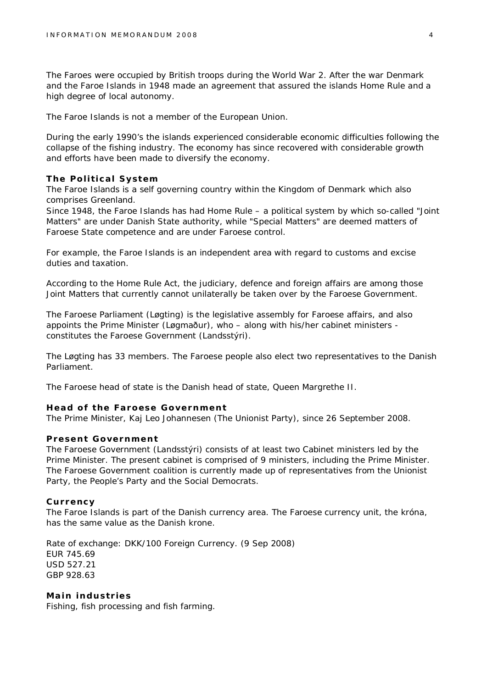The Faroes were occupied by British troops during the World War 2. After the war Denmark and the Faroe Islands in 1948 made an agreement that assured the islands Home Rule and a high degree of local autonomy.

The Faroe Islands is not a member of the European Union.

During the early 1990's the islands experienced considerable economic difficulties following the collapse of the fishing industry. The economy has since recovered with considerable growth and efforts have been made to diversify the economy.

#### **The Political System**

The Faroe Islands is a self governing country within the Kingdom of Denmark which also comprises Greenland.

Since 1948, the Faroe Islands has had Home Rule – a political system by which so-called "Joint Matters" are under Danish State authority, while "Special Matters" are deemed matters of Faroese State competence and are under Faroese control.

For example, the Faroe Islands is an independent area with regard to customs and excise duties and taxation.

According to the Home Rule Act, the judiciary, defence and foreign affairs are among those Joint Matters that currently cannot unilaterally be taken over by the Faroese Government.

The Faroese Parliament (Løgting) is the legislative assembly for Faroese affairs, and also appoints the Prime Minister (Løgmaður), who – along with his/her cabinet ministers constitutes the Faroese Government (Landsstýri).

The Løgting has 33 members. The Faroese people also elect two representatives to the Danish Parliament.

The Faroese head of state is the Danish head of state, Queen Margrethe II.

#### **Head of the Faroese Government**

The Prime Minister, Kaj Leo Johannesen (The Unionist Party), since 26 September 2008.

#### **Present Government**

The Faroese Government (Landsstýri) consists of at least two Cabinet ministers led by the Prime Minister. The present cabinet is comprised of 9 ministers, including the Prime Minister. The Faroese Government coalition is currently made up of representatives from the Unionist Party, the People's Party and the Social Democrats.

#### **Currency**

The Faroe Islands is part of the Danish currency area. The Faroese currency unit, the króna, has the same value as the Danish krone.

Rate of exchange: DKK/100 Foreign Currency. (9 Sep 2008) EUR 745.69 USD 527.21 GBP 928.63

**Main industries** Fishing, fish processing and fish farming.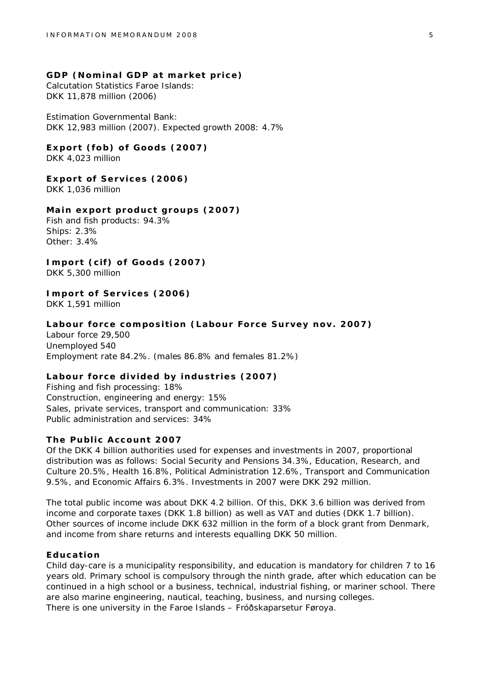**GDP (Nominal GDP at market price)** Calcutation Statistics Faroe Islands: DKK 11,878 million (2006)

Estimation Governmental Bank: DKK 12,983 million (2007). Expected growth 2008: 4.7%

**Export (fob) of Goods (2007)** DKK 4,023 million

**Export of Services (2006)** DKK 1,036 million

**Main export product groups (2007)** Fish and fish products: 94.3% Ships: 2.3% Other: 3.4%

**Import (cif) of Goods (2007)** DKK 5,300 million

**Import of Services (2006)** DKK 1,591 million

**Labour force composition (Labour Force Survey nov. 2007)** Labour force 29,500 Unemployed 540 Employment rate 84.2%. (males 86.8% and females 81.2%)

**Labour force divided by industries (2007)** Fishing and fish processing: 18% Construction, engineering and energy: 15% Sales, private services, transport and communication: 33% Public administration and services: 34%

#### **The Public Account 2007**

Of the DKK 4 billion authorities used for expenses and investments in 2007, proportional distribution was as follows: Social Security and Pensions 34.3%, Education, Research, and Culture 20.5%, Health 16.8%, Political Administration 12.6%, Transport and Communication 9.5%, and Economic Affairs 6.3%. Investments in 2007 were DKK 292 million.

The total public income was about DKK 4.2 billion. Of this, DKK 3.6 billion was derived from income and corporate taxes (DKK 1.8 billion) as well as VAT and duties (DKK 1.7 billion). Other sources of income include DKK 632 million in the form of a block grant from Denmark, and income from share returns and interests equalling DKK 50 million.

#### **Education**

Child day-care is a municipality responsibility, and education is mandatory for children 7 to 16 years old. Primary school is compulsory through the ninth grade, after which education can be continued in a high school or a business, technical, industrial fishing, or mariner school. There are also marine engineering, nautical, teaching, business, and nursing colleges. There is one university in the Faroe Islands – Fróðskaparsetur Føroya.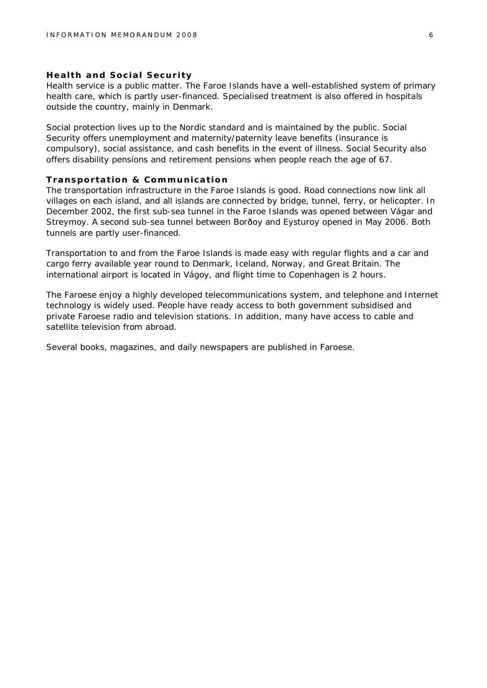#### **Health and Social Security**

Health service is a public matter. The Faroe Islands have a well-established system of primary health care, which is partly user-financed. Specialised treatment is also offered in hospitals outside the country, mainly in Denmark.

Social protection lives up to the Nordic standard and is maintained by the public. Social Security offers unemployment and maternity/paternity leave benefits (insurance is compulsory), social assistance, and cash benefits in the event of illness. Social Security also offers disability pensions and retirement pensions when people reach the age of 67.

#### **Transportation & Communication**

The transportation infrastructure in the Faroe Islands is good. Road connections now link all villages on each island, and all islands are connected by bridge, tunnel, ferry, or helicopter. In December 2002, the first sub-sea tunnel in the Faroe Islands was opened between Vágar and Streymoy. A second sub-sea tunnel between Borðoy and Eysturoy opened in May 2006. Both tunnels are partly user-financed.

Transportation to and from the Faroe Islands is made easy with regular flights and a car and cargo ferry available year round to Denmark, Iceland, Norway, and Great Britain. The international airport is located in Vágoy, and flight time to Copenhagen is 2 hours.

The Faroese enjoy a highly developed telecommunications system, and telephone and Internet technology is widely used. People have ready access to both government subsidised and private Faroese radio and television stations. In addition, many have access to cable and satellite television from abroad.

Several books, magazines, and daily newspapers are published in Faroese.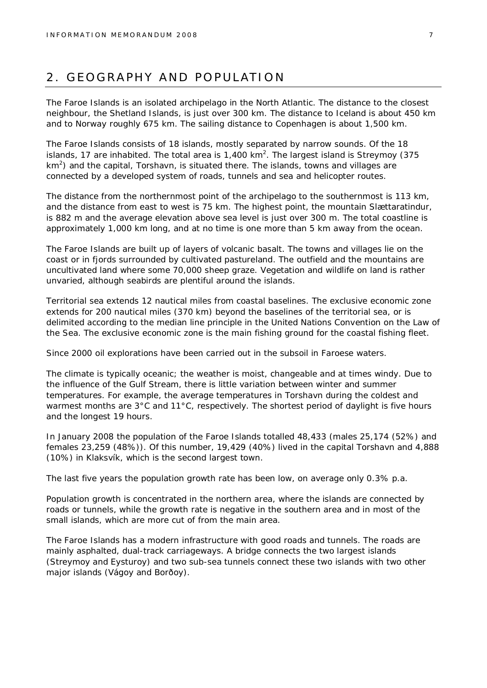## 2. GEOGRAPHY AND POPULATION

The Faroe Islands is an isolated archipelago in the North Atlantic. The distance to the closest neighbour, the Shetland Islands, is just over 300 km. The distance to Iceland is about 450 km and to Norway roughly 675 km. The sailing distance to Copenhagen is about 1,500 km.

The Faroe Islands consists of 18 islands, mostly separated by narrow sounds. Of the 18 islands, 17 are inhabited. The total area is 1,400 km<sup>2</sup>. The largest island is Streymoy (375  $km<sup>2</sup>$ ) and the capital, Torshavn, is situated there. The islands, towns and villages are connected by a developed system of roads, tunnels and sea and helicopter routes.

The distance from the northernmost point of the archipelago to the southernmost is 113 km, and the distance from east to west is 75 km. The highest point, the mountain Slættaratindur, is 882 m and the average elevation above sea level is just over 300 m. The total coastline is approximately 1,000 km long, and at no time is one more than 5 km away from the ocean.

The Faroe Islands are built up of layers of volcanic basalt. The towns and villages lie on the coast or in fjords surrounded by cultivated pastureland. The outfield and the mountains are uncultivated land where some 70,000 sheep graze. Vegetation and wildlife on land is rather unvaried, although seabirds are plentiful around the islands.

Territorial sea extends 12 nautical miles from coastal baselines. The exclusive economic zone extends for 200 nautical miles (370 km) beyond the baselines of the territorial sea, or is delimited according to the median line principle in the United Nations Convention on the Law of the Sea. The exclusive economic zone is the main fishing ground for the coastal fishing fleet.

Since 2000 oil explorations have been carried out in the subsoil in Faroese waters.

The climate is typically oceanic; the weather is moist, changeable and at times windy. Due to the influence of the Gulf Stream, there is little variation between winter and summer temperatures. For example, the average temperatures in Torshavn during the coldest and warmest months are 3°C and 11°C, respectively. The shortest period of daylight is five hours and the longest 19 hours.

In January 2008 the population of the Faroe Islands totalled 48,433 (males 25,174 (52%) and females 23,259 (48%)). Of this number, 19,429 (40%) lived in the capital Torshavn and 4,888 (10%) in Klaksvík, which is the second largest town.

The last five years the population growth rate has been low, on average only 0.3% p.a.

Population growth is concentrated in the northern area, where the islands are connected by roads or tunnels, while the growth rate is negative in the southern area and in most of the small islands, which are more cut of from the main area.

The Faroe Islands has a modern infrastructure with good roads and tunnels. The roads are mainly asphalted, dual-track carriageways. A bridge connects the two largest islands (Streymoy and Eysturoy) and two sub-sea tunnels connect these two islands with two other major islands (Vágoy and Borðoy).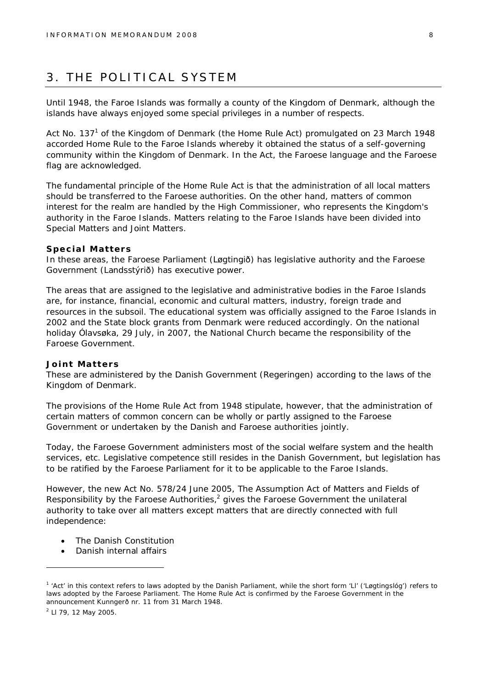## 3. THE POLITICAL SYSTEM

Until 1948, the Faroe Islands was formally a county of the Kingdom of Denmark, although the islands have always enjoyed some special privileges in a number of respects.

Act No. 137<sup>1</sup> of the Kingdom of Denmark (the Home Rule Act) promulgated on 23 March 1948 accorded Home Rule to the Faroe Islands whereby it obtained the status of a self-governing community within the Kingdom of Denmark. In the Act, the Faroese language and the Faroese flag are acknowledged.

The fundamental principle of the Home Rule Act is that the administration of all local matters should be transferred to the Faroese authorities. On the other hand, matters of common interest for the realm are handled by the High Commissioner, who represents the Kingdom's authority in the Faroe Islands. Matters relating to the Faroe Islands have been divided into Special Matters and Joint Matters.

#### **Special Matters**

In these areas, the Faroese Parliament (Løgtingið) has legislative authority and the Faroese Government (Landsstýrið) has executive power.

The areas that are assigned to the legislative and administrative bodies in the Faroe Islands are, for instance, financial, economic and cultural matters, industry, foreign trade and resources in the subsoil. The educational system was officially assigned to the Faroe Islands in 2002 and the State block grants from Denmark were reduced accordingly. On the national holiday Ólavsøka, 29 July, in 2007, the National Church became the responsibility of the Faroese Government.

#### **Joint Matters**

These are administered by the Danish Government (Regeringen) according to the laws of the Kingdom of Denmark.

The provisions of the Home Rule Act from 1948 stipulate, however, that the administration of certain matters of common concern can be wholly or partly assigned to the Faroese Government or undertaken by the Danish and Faroese authorities jointly.

Today, the Faroese Government administers most of the social welfare system and the health services, etc. Legislative competence still resides in the Danish Government, but legislation has to be ratified by the Faroese Parliament for it to be applicable to the Faroe Islands.

However, the new Act No. 578/24 June 2005, The Assumption Act of Matters and Fields of Responsibility by the Faroese Authorities, $2$  gives the Faroese Government the unilateral authority to take over all matters except matters that are directly connected with full independence:

- The Danish Constitution
- Danish internal affairs

<sup>&</sup>lt;sup>1</sup> 'Act' in this context refers to laws adopted by the Danish Parliament, while the short form 'Ll' ('Løgtingslóg') refers to laws adopted by the Faroese Parliament. The Home Rule Act is confirmed by the Faroese Government in the announcement Kunngerð nr. 11 from 31 March 1948.

<sup>&</sup>lt;sup>2</sup> LI 79, 12 May 2005.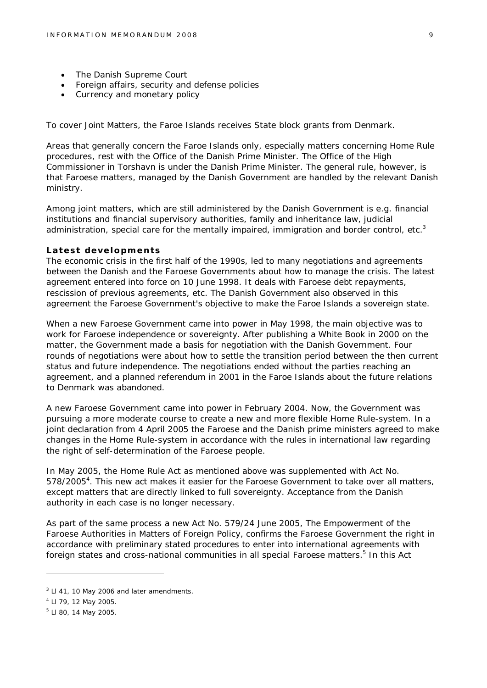- The Danish Supreme Court
- Foreign affairs, security and defense policies
- Currency and monetary policy

To cover Joint Matters, the Faroe Islands receives State block grants from Denmark.

Areas that generally concern the Faroe Islands only, especially matters concerning Home Rule procedures, rest with the Office of the Danish Prime Minister. The Office of the High Commissioner in Torshavn is under the Danish Prime Minister. The general rule, however, is that Faroese matters, managed by the Danish Government are handled by the relevant Danish ministry.

Among joint matters, which are still administered by the Danish Government is e.g. financial institutions and financial supervisory authorities, family and inheritance law, judicial administration, special care for the mentally impaired, immigration and border control, etc.<sup>3</sup>

#### **Latest developments**

The economic crisis in the first half of the 1990s, led to many negotiations and agreements between the Danish and the Faroese Governments about how to manage the crisis. The latest agreement entered into force on 10 June 1998. It deals with Faroese debt repayments, rescission of previous agreements, etc. The Danish Government also observed in this agreement the Faroese Government's objective to make the Faroe Islands a sovereign state.

When a new Faroese Government came into power in May 1998, the main objective was to work for Faroese independence or sovereignty. After publishing a White Book in 2000 on the matter, the Government made a basis for negotiation with the Danish Government. Four rounds of negotiations were about how to settle the transition period between the then current status and future independence. The negotiations ended without the parties reaching an agreement, and a planned referendum in 2001 in the Faroe Islands about the future relations to Denmark was abandoned.

A new Faroese Government came into power in February 2004. Now, the Government was pursuing a more moderate course to create a new and more flexible Home Rule-system. In a joint declaration from 4 April 2005 the Faroese and the Danish prime ministers agreed to make changes in the Home Rule-system in accordance with the rules in international law regarding the right of self-determination of the Faroese people.

In May 2005, the Home Rule Act as mentioned above was supplemented with Act No. 578/2005<sup>4</sup>. This new act makes it easier for the Faroese Government to take over all matters, except matters that are directly linked to full sovereignty. Acceptance from the Danish authority in each case is no longer necessary.

As part of the same process a new Act No. 579/24 June 2005, The Empowerment of the Faroese Authorities in Matters of Foreign Policy, confirms the Faroese Government the right in accordance with preliminary stated procedures to enter into international agreements with foreign states and cross-national communities in all special Faroese matters.<sup>5</sup> In this Act

 $3$  LI 41, 10 May 2006 and later amendments.

<sup>4</sup> Ll 79, 12 May 2005.

<sup>5</sup> Ll 80, 14 May 2005.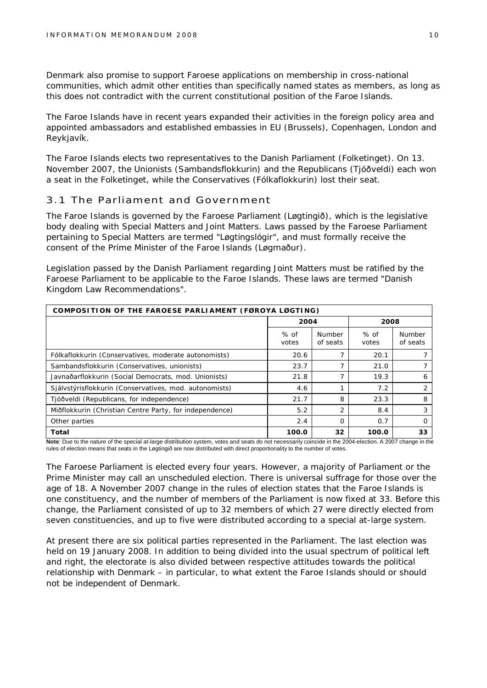Denmark also promise to support Faroese applications on membership in cross-national communities, which admit other entities than specifically named states as members, as long as this does not contradict with the current constitutional position of the Faroe Islands.

The Faroe Islands have in recent years expanded their activities in the foreign policy area and appointed ambassadors and established embassies in EU (Brussels), Copenhagen, London and Reykjavík.

The Faroe Islands elects two representatives to the Danish Parliament (Folketinget). On 13. November 2007, the Unionists (Sambandsflokkurin) and the Republicans (Tjóðveldi) each won a seat in the Folketinget, while the Conservatives (Fólkaflokkurin) lost their seat.

#### 3.1 The Parliament and Government

The Faroe Islands is governed by the Faroese Parliament (Løgtingið), which is the legislative body dealing with Special Matters and Joint Matters. Laws passed by the Faroese Parliament pertaining to Special Matters are termed "Løgtingslógir", and must formally receive the consent of the Prime Minister of the Faroe Islands (Løgmaður).

Legislation passed by the Danish Parliament regarding Joint Matters must be ratified by the Faroese Parliament to be applicable to the Faroe Islands. These laws are termed "Danish Kingdom Law Recommendations".

| COMPOSITION OF THE FAROESE PARLIAMENT (FØROYA LØGTING)                                               |                 |                           |                               |                    |  |
|------------------------------------------------------------------------------------------------------|-----------------|---------------------------|-------------------------------|--------------------|--|
|                                                                                                      | 2004            |                           | 2008                          |                    |  |
|                                                                                                      | $%$ of<br>votes | <b>Number</b><br>of seats | $%$ of<br>votes               | Number<br>of seats |  |
| Fólkaflokkurin (Conservatives, moderate autonomists)                                                 | 20.6            |                           | 20.1                          |                    |  |
| Sambandsflokkurin (Conservatives, unionists)                                                         | 23.7            |                           | 21.0                          |                    |  |
| Javnaðarflokkurin (Social Democrats, mod. Unionists)                                                 | 21.8            |                           | 19.3                          | 6                  |  |
| Sjálvstýrisflokkurin (Conservatives, mod. autonomists)                                               | 4.6             |                           | 7.2                           | 2                  |  |
| Tjóðveldi (Republicans, for independence)                                                            | 21.7            | 8                         | 23.3                          | 8                  |  |
| Miðflokkurin (Christian Centre Party, for independence)                                              | 5.2             | 2                         | 8.4                           | 3                  |  |
| Other parties                                                                                        | 2.4             | $\Omega$                  | 0.7                           | O                  |  |
| Total<br>$\cdot$ $\cdot$ $\cdot$ $\cdot$<br>$\sim$ $\sim$<br>.<br>$\sim$ $\sim$ $\sim$ $\sim$ $\sim$ | 100.0           | 32<br>$\cdots$            | 100.0<br>$\ddot{\phantom{0}}$ | 33                 |  |

Note: Due to the nature of the special at-large distribution system, votes and seats do not necessarily coincide in the 2004-election. A 2007 change in the rules of election means that seats in the Løgtingið are now distributed with direct proportionality to the number of votes.

The Faroese Parliament is elected every four years. However, a majority of Parliament or the Prime Minister may call an unscheduled election. There is universal suffrage for those over the age of 18. A November 2007 change in the rules of election states that the Faroe Islands is one constituency, and the number of members of the Parliament is now fixed at 33. Before this change, the Parliament consisted of up to 32 members of which 27 were directly elected from seven constituencies, and up to five were distributed according to a special at-large system.

At present there are six political parties represented in the Parliament. The last election was held on 19 January 2008. In addition to being divided into the usual spectrum of political left and right, the electorate is also divided between respective attitudes towards the political relationship with Denmark – in particular, to what extent the Faroe Islands should or should not be independent of Denmark.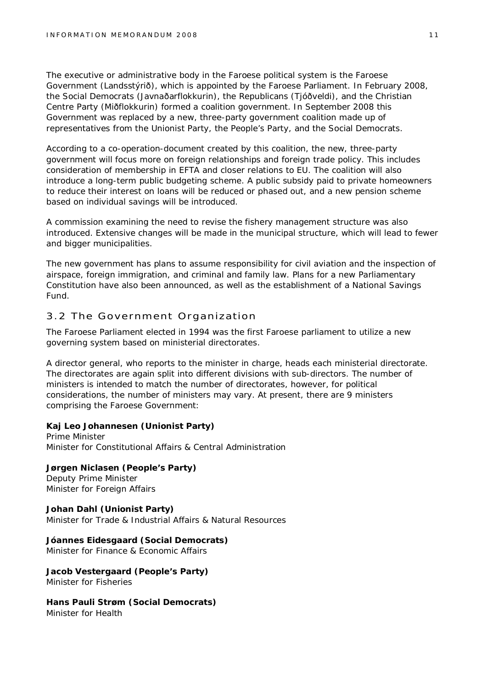The executive or administrative body in the Faroese political system is the Faroese Government (Landsstýrið), which is appointed by the Faroese Parliament. In February 2008, the Social Democrats (Javnaðarflokkurin), the Republicans (Tjóðveldi), and the Christian Centre Party (Miðflokkurin) formed a coalition government. In September 2008 this Government was replaced by a new, three-party government coalition made up of representatives from the Unionist Party, the People's Party, and the Social Democrats.

According to a co-operation-document created by this coalition, the new, three-party government will focus more on foreign relationships and foreign trade policy. This includes consideration of membership in EFTA and closer relations to EU. The coalition will also introduce a long-term public budgeting scheme. A public subsidy paid to private homeowners to reduce their interest on loans will be reduced or phased out, and a new pension scheme based on individual savings will be introduced.

A commission examining the need to revise the fishery management structure was also introduced. Extensive changes will be made in the municipal structure, which will lead to fewer and bigger municipalities.

The new government has plans to assume responsibility for civil aviation and the inspection of airspace, foreign immigration, and criminal and family law. Plans for a new Parliamentary Constitution have also been announced, as well as the establishment of a National Savings Fund.

#### 3.2 The Government Organization

The Faroese Parliament elected in 1994 was the first Faroese parliament to utilize a new governing system based on ministerial directorates.

A director general, who reports to the minister in charge, heads each ministerial directorate. The directorates are again split into different divisions with sub-directors. The number of ministers is intended to match the number of directorates, however, for political considerations, the number of ministers may vary. At present, there are 9 ministers comprising the Faroese Government:

**Kaj Leo Johannesen (Unionist Party)** Prime Minister Minister for Constitutional Affairs & Central Administration

**Jørgen Niclasen (People's Party)** Deputy Prime Minister Minister for Foreign Affairs

**Johan Dahl (Unionist Party)** Minister for Trade & Industrial Affairs & Natural Resources

**Jóannes Eidesgaard (Social Democrats)** Minister for Finance & Economic Affairs

**Jacob Vestergaard (People's Party)** Minister for Fisheries

**Hans Pauli Strøm (Social Democrats)** Minister for Health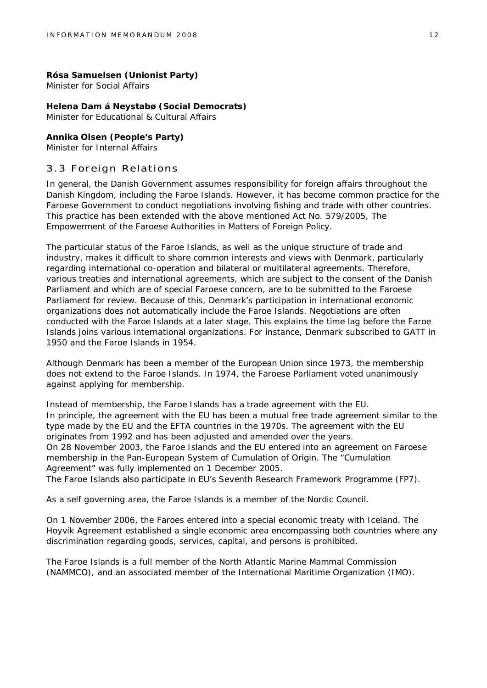**Rósa Samuelsen (Unionist Party)** Minister for Social Affairs

**Helena Dam á Neystabø (Social Democrats)** Minister for Educational & Cultural Affairs

**Annika Olsen (People's Party)** Minister for Internal Affairs

#### 3.3 Foreign Relations

In general, the Danish Government assumes responsibility for foreign affairs throughout the Danish Kingdom, including the Faroe Islands. However, it has become common practice for the Faroese Government to conduct negotiations involving fishing and trade with other countries. This practice has been extended with the above mentioned Act No. 579/2005, The Empowerment of the Faroese Authorities in Matters of Foreign Policy.

The particular status of the Faroe Islands, as well as the unique structure of trade and industry, makes it difficult to share common interests and views with Denmark, particularly regarding international co-operation and bilateral or multilateral agreements. Therefore, various treaties and international agreements, which are subject to the consent of the Danish Parliament and which are of special Faroese concern, are to be submitted to the Faroese Parliament for review. Because of this, Denmark's participation in international economic organizations does not automatically include the Faroe Islands. Negotiations are often conducted with the Faroe Islands at a later stage. This explains the time lag before the Faroe Islands joins various international organizations. For instance, Denmark subscribed to GATT in 1950 and the Faroe Islands in 1954.

Although Denmark has been a member of the European Union since 1973, the membership does not extend to the Faroe Islands. In 1974, the Faroese Parliament voted unanimously against applying for membership.

Instead of membership, the Faroe Islands has a trade agreement with the EU. In principle, the agreement with the EU has been a mutual free trade agreement similar to the type made by the EU and the EFTA countries in the 1970s. The agreement with the EU originates from 1992 and has been adjusted and amended over the years. On 28 November 2003, the Faroe Islands and the EU entered into an agreement on Faroese membership in the Pan-European System of Cumulation of Origin. The "Cumulation Agreement" was fully implemented on 1 December 2005.

The Faroe Islands also participate in EU's Seventh Research Framework Programme (FP7).

As a self governing area, the Faroe Islands is a member of the Nordic Council.

On 1 November 2006, the Faroes entered into a special economic treaty with Iceland. The Hoyvík Agreement established a single economic area encompassing both countries where any discrimination regarding goods, services, capital, and persons is prohibited.

The Faroe Islands is a full member of the North Atlantic Marine Mammal Commission (NAMMCO), and an associated member of the International Maritime Organization (IMO).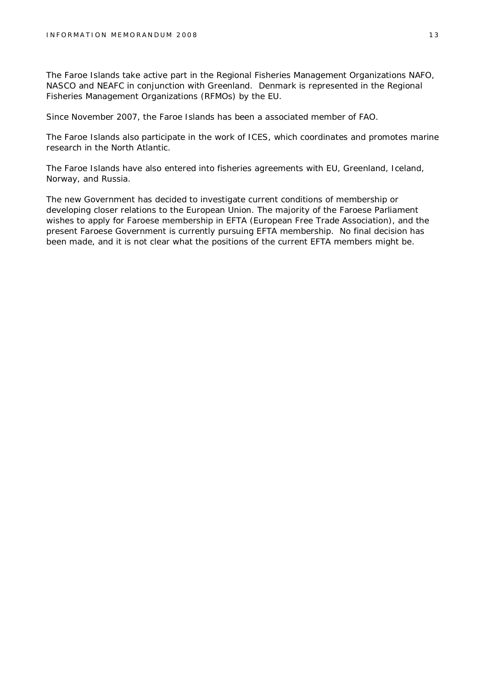The Faroe Islands take active part in the Regional Fisheries Management Organizations NAFO, NASCO and NEAFC in conjunction with Greenland. Denmark is represented in the Regional Fisheries Management Organizations (RFMOs) by the EU.

Since November 2007, the Faroe Islands has been a associated member of FAO.

The Faroe Islands also participate in the work of ICES, which coordinates and promotes marine research in the North Atlantic.

The Faroe Islands have also entered into fisheries agreements with EU, Greenland, Iceland, Norway, and Russia.

The new Government has decided to investigate current conditions of membership or developing closer relations to the European Union. The majority of the Faroese Parliament wishes to apply for Faroese membership in EFTA (European Free Trade Association), and the present Faroese Government is currently pursuing EFTA membership. No final decision has been made, and it is not clear what the positions of the current EFTA members might be.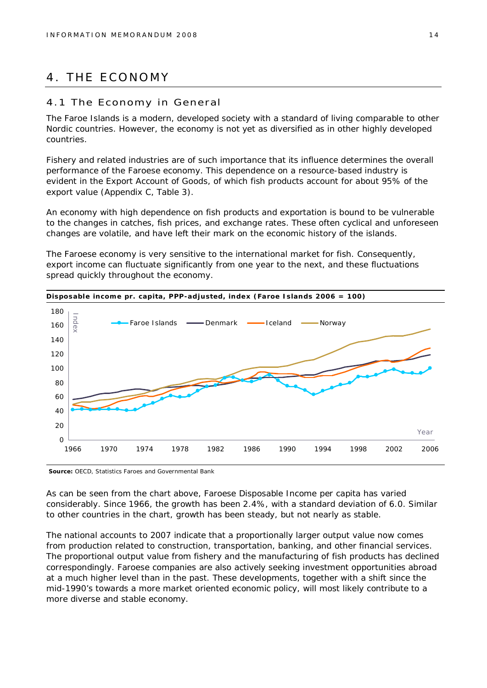## 4. THE ECONOMY

#### 4.1 The Economy in General

The Faroe Islands is a modern, developed society with a standard of living comparable to other Nordic countries. However, the economy is not yet as diversified as in other highly developed countries.

Fishery and related industries are of such importance that its influence determines the overall performance of the Faroese economy. This dependence on a resource-based industry is evident in the Export Account of Goods, of which fish products account for about 95% of the export value (Appendix C, Table 3).

An economy with high dependence on fish products and exportation is bound to be vulnerable to the changes in catches, fish prices, and exchange rates. These often cyclical and unforeseen changes are volatile, and have left their mark on the economic history of the islands.

The Faroese economy is very sensitive to the international market for fish. Consequently, export income can fluctuate significantly from one year to the next, and these fluctuations spread quickly throughout the economy.



**Source:** OECD, Statistics Faroes and Governmental Bank

As can be seen from the chart above, Faroese Disposable Income per capita has varied considerably. Since 1966, the growth has been 2.4%, with a standard deviation of 6.0. Similar to other countries in the chart, growth has been steady, but not nearly as stable.

The national accounts to 2007 indicate that a proportionally larger output value now comes from production related to construction, transportation, banking, and other financial services. The proportional output value from fishery and the manufacturing of fish products has declined correspondingly. Faroese companies are also actively seeking investment opportunities abroad at a much higher level than in the past. These developments, together with a shift since the mid-1990's towards a more market oriented economic policy, will most likely contribute to a more diverse and stable economy.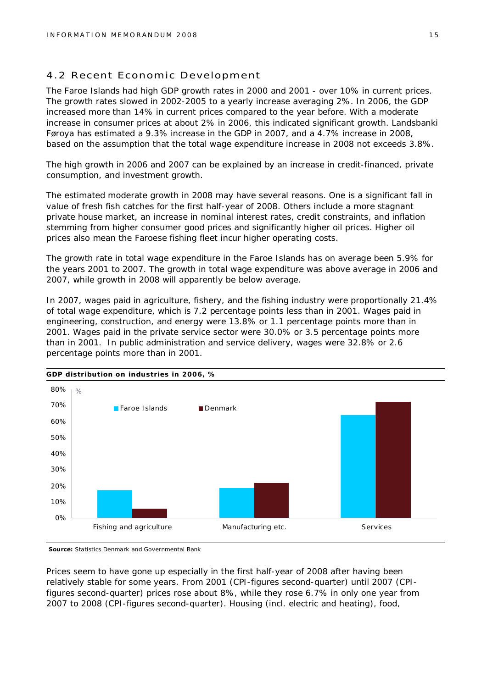#### 4.2 Recent Economic Development

The Faroe Islands had high GDP growth rates in 2000 and 2001 - over 10% in current prices. The growth rates slowed in 2002-2005 to a yearly increase averaging 2%. In 2006, the GDP increased more than 14% in current prices compared to the year before. With a moderate increase in consumer prices at about 2% in 2006, this indicated significant growth. Landsbanki Føroya has estimated a 9.3% increase in the GDP in 2007, and a 4.7% increase in 2008, based on the assumption that the total wage expenditure increase in 2008 not exceeds 3.8%.

The high growth in 2006 and 2007 can be explained by an increase in credit-financed, private consumption, and investment growth.

The estimated moderate growth in 2008 may have several reasons. One is a significant fall in value of fresh fish catches for the first half-year of 2008. Others include a more stagnant private house market, an increase in nominal interest rates, credit constraints, and inflation stemming from higher consumer good prices and significantly higher oil prices. Higher oil prices also mean the Faroese fishing fleet incur higher operating costs.

The growth rate in total wage expenditure in the Faroe Islands has on average been 5.9% for the years 2001 to 2007. The growth in total wage expenditure was above average in 2006 and 2007, while growth in 2008 will apparently be below average.

In 2007, wages paid in agriculture, fishery, and the fishing industry were proportionally 21.4% of total wage expenditure, which is 7.2 percentage points less than in 2001. Wages paid in engineering, construction, and energy were 13.8% or 1.1 percentage points more than in 2001. Wages paid in the private service sector were 30.0% or 3.5 percentage points more than in 2001. In public administration and service delivery, wages were 32.8% or 2.6 percentage points more than in 2001.



**Source:** Statistics Denmark and Governmental Bank

Prices seem to have gone up especially in the first half-year of 2008 after having been relatively stable for some years. From 2001 (CPI-figures second-quarter) until 2007 (CPIfigures second-quarter) prices rose about 8%, while they rose 6.7% in only one year from 2007 to 2008 (CPI-figures second-quarter). Housing (incl. electric and heating), food,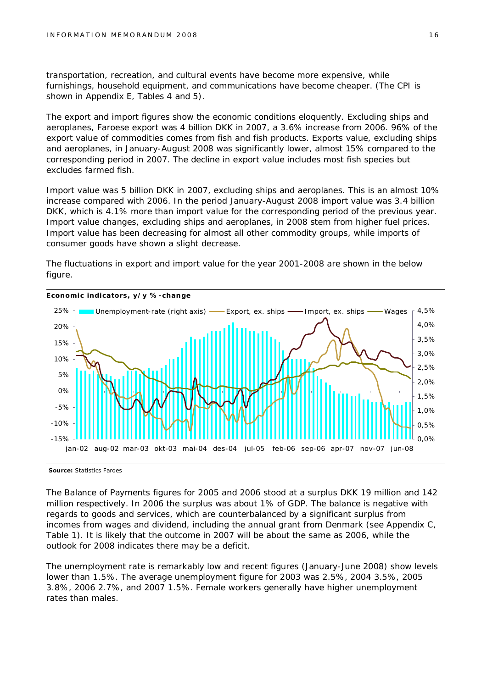transportation, recreation, and cultural events have become more expensive, while furnishings, household equipment, and communications have become cheaper. (The CPI is shown in Appendix E, Tables 4 and 5).

The export and import figures show the economic conditions eloquently. Excluding ships and aeroplanes, Faroese export was 4 billion DKK in 2007, a 3.6% increase from 2006. 96% of the export value of commodities comes from fish and fish products. Exports value, excluding ships and aeroplanes, in January-August 2008 was significantly lower, almost 15% compared to the corresponding period in 2007. The decline in export value includes most fish species but excludes farmed fish.

Import value was 5 billion DKK in 2007, excluding ships and aeroplanes. This is an almost 10% increase compared with 2006. In the period January-August 2008 import value was 3.4 billion DKK, which is 4.1% more than import value for the corresponding period of the previous year. Import value changes, excluding ships and aeroplanes, in 2008 stem from higher fuel prices. Import value has been decreasing for almost all other commodity groups, while imports of consumer goods have shown a slight decrease.

The fluctuations in export and import value for the year 2001-2008 are shown in the below figure.



**Source:** Statistics Faroes

The Balance of Payments figures for 2005 and 2006 stood at a surplus DKK 19 million and 142 million respectively. In 2006 the surplus was about 1% of GDP. The balance is negative with regards to goods and services, which are counterbalanced by a significant surplus from incomes from wages and dividend, including the annual grant from Denmark (see Appendix C, Table 1). It is likely that the outcome in 2007 will be about the same as 2006, while the outlook for 2008 indicates there may be a deficit.

The unemployment rate is remarkably low and recent figures (January-June 2008) show levels lower than 1.5%. The average unemployment figure for 2003 was 2.5%, 2004 3.5%, 2005 3.8%, 2006 2.7%, and 2007 1.5%. Female workers generally have higher unemployment rates than males.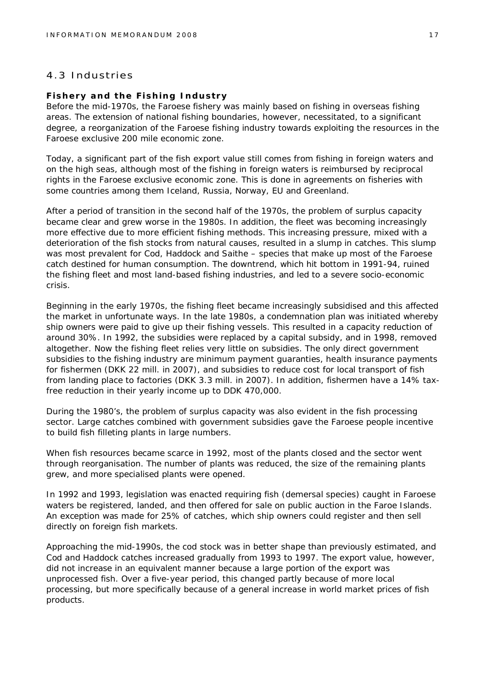#### 4.3 Industries

#### **Fishery and the Fishing Industry**

Before the mid-1970s, the Faroese fishery was mainly based on fishing in overseas fishing areas. The extension of national fishing boundaries, however, necessitated, to a significant degree, a reorganization of the Faroese fishing industry towards exploiting the resources in the Faroese exclusive 200 mile economic zone.

Today, a significant part of the fish export value still comes from fishing in foreign waters and on the high seas, although most of the fishing in foreign waters is reimbursed by reciprocal rights in the Faroese exclusive economic zone. This is done in agreements on fisheries with some countries among them Iceland, Russia, Norway, EU and Greenland.

After a period of transition in the second half of the 1970s, the problem of surplus capacity became clear and grew worse in the 1980s. In addition, the fleet was becoming increasingly more effective due to more efficient fishing methods. This increasing pressure, mixed with a deterioration of the fish stocks from natural causes, resulted in a slump in catches. This slump was most prevalent for Cod, Haddock and Saithe – species that make up most of the Faroese catch destined for human consumption. The downtrend, which hit bottom in 1991-94, ruined the fishing fleet and most land-based fishing industries, and led to a severe socio-economic crisis.

Beginning in the early 1970s, the fishing fleet became increasingly subsidised and this affected the market in unfortunate ways. In the late 1980s, a condemnation plan was initiated whereby ship owners were paid to give up their fishing vessels. This resulted in a capacity reduction of around 30%. In 1992, the subsidies were replaced by a capital subsidy, and in 1998, removed altogether. Now the fishing fleet relies very little on subsidies. The only direct government subsidies to the fishing industry are minimum payment guaranties, health insurance payments for fishermen (DKK 22 mill. in 2007), and subsidies to reduce cost for local transport of fish from landing place to factories (DKK 3.3 mill. in 2007). In addition, fishermen have a 14% taxfree reduction in their yearly income up to DDK 470,000.

During the 1980's, the problem of surplus capacity was also evident in the fish processing sector. Large catches combined with government subsidies gave the Faroese people incentive to build fish filleting plants in large numbers.

When fish resources became scarce in 1992, most of the plants closed and the sector went through reorganisation. The number of plants was reduced, the size of the remaining plants grew, and more specialised plants were opened.

In 1992 and 1993, legislation was enacted requiring fish (demersal species) caught in Faroese waters be registered, landed, and then offered for sale on public auction in the Faroe Islands. An exception was made for 25% of catches, which ship owners could register and then sell directly on foreign fish markets.

Approaching the mid-1990s, the cod stock was in better shape than previously estimated, and Cod and Haddock catches increased gradually from 1993 to 1997. The export value, however, did not increase in an equivalent manner because a large portion of the export was unprocessed fish. Over a five-year period, this changed partly because of more local processing, but more specifically because of a general increase in world market prices of fish products.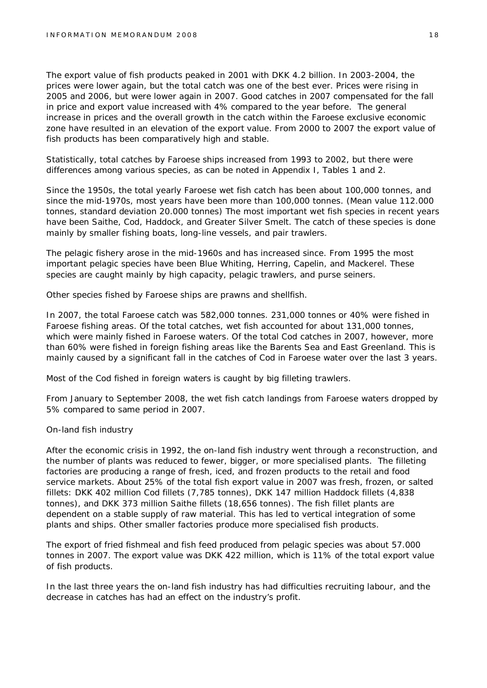The export value of fish products peaked in 2001 with DKK 4.2 billion. In 2003-2004, the prices were lower again, but the total catch was one of the best ever. Prices were rising in 2005 and 2006, but were lower again in 2007. Good catches in 2007 compensated for the fall in price and export value increased with 4% compared to the year before. The general increase in prices and the overall growth in the catch within the Faroese exclusive economic zone have resulted in an elevation of the export value. From 2000 to 2007 the export value of fish products has been comparatively high and stable.

Statistically, total catches by Faroese ships increased from 1993 to 2002, but there were differences among various species, as can be noted in Appendix I, Tables 1 and 2.

Since the 1950s, the total yearly Faroese wet fish catch has been about 100,000 tonnes, and since the mid-1970s, most years have been more than 100,000 tonnes. (Mean value 112.000 tonnes, standard deviation 20.000 tonnes) The most important wet fish species in recent years have been Saithe, Cod, Haddock, and Greater Silver Smelt. The catch of these species is done mainly by smaller fishing boats, long-line vessels, and pair trawlers.

The pelagic fishery arose in the mid-1960s and has increased since. From 1995 the most important pelagic species have been Blue Whiting, Herring, Capelin, and Mackerel. These species are caught mainly by high capacity, pelagic trawlers, and purse seiners.

Other species fished by Faroese ships are prawns and shellfish.

In 2007, the total Faroese catch was 582,000 tonnes. 231,000 tonnes or 40% were fished in Faroese fishing areas. Of the total catches, wet fish accounted for about 131,000 tonnes, which were mainly fished in Faroese waters. Of the total Cod catches in 2007, however, more than 60% were fished in foreign fishing areas like the Barents Sea and East Greenland. This is mainly caused by a significant fall in the catches of Cod in Faroese water over the last 3 years.

Most of the Cod fished in foreign waters is caught by big filleting trawlers.

From January to September 2008, the wet fish catch landings from Faroese waters dropped by 5% compared to same period in 2007.

#### *On-land fish industry*

After the economic crisis in 1992, the on-land fish industry went through a reconstruction, and the number of plants was reduced to fewer, bigger, or more specialised plants. The filleting factories are producing a range of fresh, iced, and frozen products to the retail and food service markets. About 25% of the total fish export value in 2007 was fresh, frozen, or salted fillets: DKK 402 million Cod fillets (7,785 tonnes), DKK 147 million Haddock fillets (4,838 tonnes), and DKK 373 million Saithe fillets (18,656 tonnes). The fish fillet plants are dependent on a stable supply of raw material. This has led to vertical integration of some plants and ships. Other smaller factories produce more specialised fish products.

The export of fried fishmeal and fish feed produced from pelagic species was about 57.000 tonnes in 2007. The export value was DKK 422 million, which is 11% of the total export value of fish products.

In the last three years the on-land fish industry has had difficulties recruiting labour, and the decrease in catches has had an effect on the industry's profit.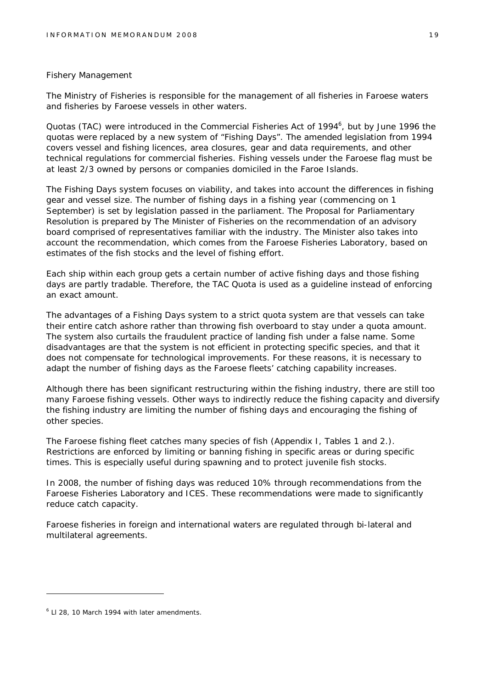#### *Fishery Management*

The Ministry of Fisheries is responsible for the management of all fisheries in Faroese waters and fisheries by Faroese vessels in other waters.

Quotas (TAC) were introduced in the Commercial Fisheries Act of 1994<sup>6</sup>, but by June 1996 the quotas were replaced by a new system of "Fishing Days". The amended legislation from 1994 covers vessel and fishing licences, area closures, gear and data requirements, and other technical regulations for commercial fisheries. Fishing vessels under the Faroese flag must be at least 2/3 owned by persons or companies domiciled in the Faroe Islands.

The Fishing Days system focuses on viability, and takes into account the differences in fishing gear and vessel size. The number of fishing days in a fishing year (commencing on 1 September) is set by legislation passed in the parliament. The Proposal for Parliamentary Resolution is prepared by The Minister of Fisheries on the recommendation of an advisory board comprised of representatives familiar with the industry. The Minister also takes into account the recommendation, which comes from the Faroese Fisheries Laboratory, based on estimates of the fish stocks and the level of fishing effort.

Each ship within each group gets a certain number of active fishing days and those fishing days are partly tradable. Therefore, the TAC Quota is used as a guideline instead of enforcing an exact amount.

The advantages of a Fishing Days system to a strict quota system are that vessels can take their entire catch ashore rather than throwing fish overboard to stay under a quota amount. The system also curtails the fraudulent practice of landing fish under a false name. Some disadvantages are that the system is not efficient in protecting specific species, and that it does not compensate for technological improvements. For these reasons, it is necessary to adapt the number of fishing days as the Faroese fleets' catching capability increases.

Although there has been significant restructuring within the fishing industry, there are still too many Faroese fishing vessels. Other ways to indirectly reduce the fishing capacity and diversify the fishing industry are limiting the number of fishing days and encouraging the fishing of other species.

The Faroese fishing fleet catches many species of fish (Appendix I, Tables 1 and 2.). Restrictions are enforced by limiting or banning fishing in specific areas or during specific times. This is especially useful during spawning and to protect juvenile fish stocks.

In 2008, the number of fishing days was reduced 10% through recommendations from the Faroese Fisheries Laboratory and ICES. These recommendations were made to significantly reduce catch capacity.

Faroese fisheries in foreign and international waters are regulated through bi-lateral and multilateral agreements.

<sup>&</sup>lt;sup>6</sup> LI 28, 10 March 1994 with later amendments.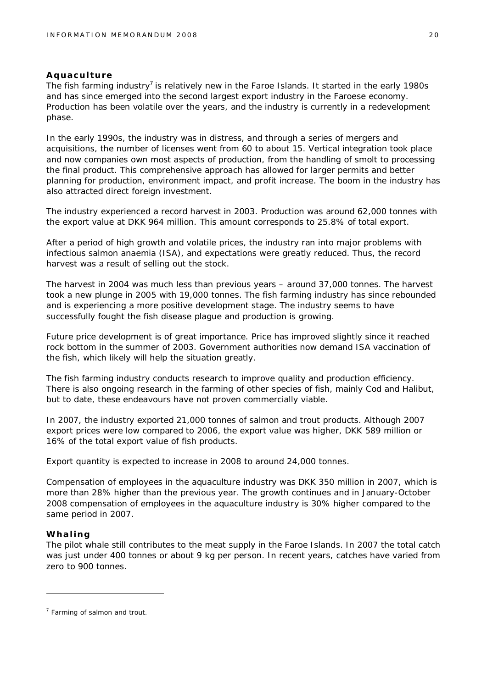#### **Aquaculture**

The fish farming industry<sup>7</sup> is relatively new in the Faroe Islands. It started in the early 1980s and has since emerged into the second largest export industry in the Faroese economy. Production has been volatile over the years, and the industry is currently in a redevelopment phase.

In the early 1990s, the industry was in distress, and through a series of mergers and acquisitions, the number of licenses went from 60 to about 15. Vertical integration took place and now companies own most aspects of production, from the handling of smolt to processing the final product. This comprehensive approach has allowed for larger permits and better planning for production, environment impact, and profit increase. The boom in the industry has also attracted direct foreign investment.

The industry experienced a record harvest in 2003. Production was around 62,000 tonnes with the export value at DKK 964 million. This amount corresponds to 25.8% of total export.

After a period of high growth and volatile prices, the industry ran into major problems with infectious salmon anaemia (ISA), and expectations were greatly reduced. Thus, the record harvest was a result of selling out the stock.

The harvest in 2004 was much less than previous years – around 37,000 tonnes. The harvest took a new plunge in 2005 with 19,000 tonnes. The fish farming industry has since rebounded and is experiencing a more positive development stage. The industry seems to have successfully fought the fish disease plague and production is growing.

Future price development is of great importance. Price has improved slightly since it reached rock bottom in the summer of 2003. Government authorities now demand ISA vaccination of the fish, which likely will help the situation greatly.

The fish farming industry conducts research to improve quality and production efficiency. There is also ongoing research in the farming of other species of fish, mainly Cod and Halibut, but to date, these endeavours have not proven commercially viable.

In 2007, the industry exported 21,000 tonnes of salmon and trout products. Although 2007 export prices were low compared to 2006, the export value was higher, DKK 589 million or 16% of the total export value of fish products.

Export quantity is expected to increase in 2008 to around 24,000 tonnes.

Compensation of employees in the aquaculture industry was DKK 350 million in 2007, which is more than 28% higher than the previous year. The growth continues and in January-October 2008 compensation of employees in the aquaculture industry is 30% higher compared to the same period in 2007.

#### **Whaling**

The pilot whale still contributes to the meat supply in the Faroe Islands. In 2007 the total catch was just under 400 tonnes or about 9 kg per person. In recent years, catches have varied from zero to 900 tonnes.

 $7$  Farming of salmon and trout.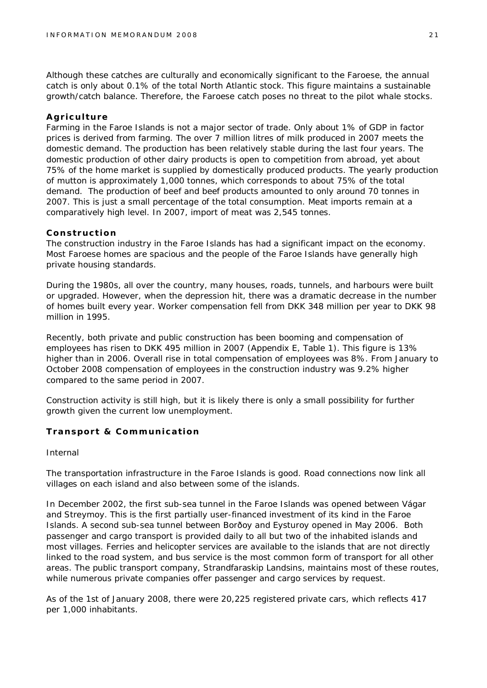Although these catches are culturally and economically significant to the Faroese, the annual catch is only about 0.1% of the total North Atlantic stock. This figure maintains a sustainable growth/catch balance. Therefore, the Faroese catch poses no threat to the pilot whale stocks.

#### **Agriculture**

Farming in the Faroe Islands is not a major sector of trade. Only about 1% of GDP in factor prices is derived from farming. The over 7 million litres of milk produced in 2007 meets the domestic demand. The production has been relatively stable during the last four years. The domestic production of other dairy products is open to competition from abroad, yet about 75% of the home market is supplied by domestically produced products. The yearly production of mutton is approximately 1,000 tonnes, which corresponds to about 75% of the total demand. The production of beef and beef products amounted to only around 70 tonnes in 2007. This is just a small percentage of the total consumption. Meat imports remain at a comparatively high level. In 2007, import of meat was 2,545 tonnes.

#### **Construction**

The construction industry in the Faroe Islands has had a significant impact on the economy. Most Faroese homes are spacious and the people of the Faroe Islands have generally high private housing standards.

During the 1980s, all over the country, many houses, roads, tunnels, and harbours were built or upgraded. However, when the depression hit, there was a dramatic decrease in the number of homes built every year. Worker compensation fell from DKK 348 million per year to DKK 98 million in 1995.

Recently, both private and public construction has been booming and compensation of employees has risen to DKK 495 million in 2007 (Appendix E, Table 1). This figure is 13% higher than in 2006. Overall rise in total compensation of employees was 8%. From January to October 2008 compensation of employees in the construction industry was 9.2% higher compared to the same period in 2007.

Construction activity is still high, but it is likely there is only a small possibility for further growth given the current low unemployment.

#### **Transport & Communication**

#### *Internal*

The transportation infrastructure in the Faroe Islands is good. Road connections now link all villages on each island and also between some of the islands.

In December 2002, the first sub-sea tunnel in the Faroe Islands was opened between Vágar and Streymoy. This is the first partially user-financed investment of its kind in the Faroe Islands. A second sub-sea tunnel between Borðoy and Eysturoy opened in May 2006. Both passenger and cargo transport is provided daily to all but two of the inhabited islands and most villages. Ferries and helicopter services are available to the islands that are not directly linked to the road system, and bus service is the most common form of transport for all other areas. The public transport company, Strandfaraskip Landsins, maintains most of these routes, while numerous private companies offer passenger and cargo services by request.

As of the 1st of January 2008, there were 20,225 registered private cars, which reflects 417 per 1,000 inhabitants.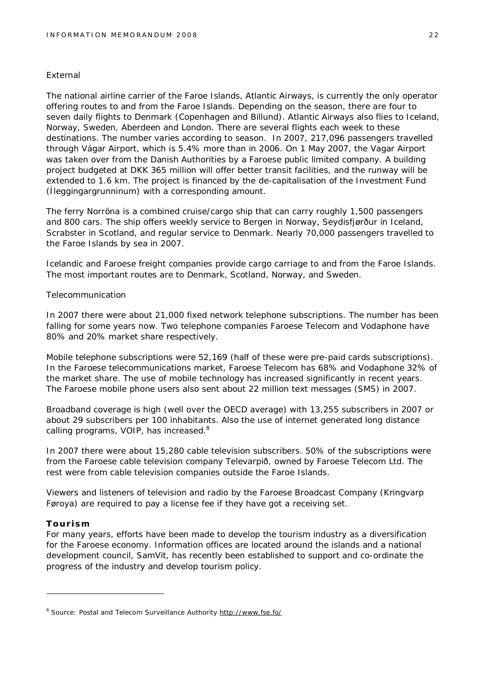#### *External*

The national airline carrier of the Faroe Islands, Atlantic Airways, is currently the only operator offering routes to and from the Faroe Islands. Depending on the season, there are four to seven daily flights to Denmark (Copenhagen and Billund). Atlantic Airways also flies to Iceland, Norway, Sweden, Aberdeen and London. There are several flights each week to these destinations. The number varies according to season. In 2007, 217,096 passengers travelled through Vágar Airport, which is 5.4% more than in 2006. On 1 May 2007, the Vagar Airport was taken over from the Danish Authorities by a Faroese public limited company. A building project budgeted at DKK 365 million will offer better transit facilities, and the runway will be extended to 1.6 km. The project is financed by the de-capitalisation of the Investment Fund (Íleggingargrunninum) with a corresponding amount.

The ferry Norröna is a combined cruise/cargo ship that can carry roughly 1,500 passengers and 800 cars. The ship offers weekly service to Bergen in Norway, Seydisfjørður in Iceland, Scrabster in Scotland, and regular service to Denmark. Nearly 70,000 passengers travelled to the Faroe Islands by sea in 2007.

Icelandic and Faroese freight companies provide cargo carriage to and from the Faroe Islands. The most important routes are to Denmark, Scotland, Norway, and Sweden.

#### *Telecommunication*

In 2007 there were about 21,000 fixed network telephone subscriptions. The number has been falling for some years now. Two telephone companies Faroese Telecom and Vodaphone have 80% and 20% market share respectively.

Mobile telephone subscriptions were 52,169 (half of these were pre-paid cards subscriptions). In the Faroese telecommunications market, Faroese Telecom has 68% and Vodaphone 32% of the market share. The use of mobile technology has increased significantly in recent years. The Faroese mobile phone users also sent about 22 million text messages (SMS) in 2007.

Broadband coverage is high (well over the OECD average) with 13,255 subscribers in 2007 or about 29 subscribers per 100 inhabitants. Also the use of internet generated long distance calling programs, VOIP, has increased.<sup>8</sup>

In 2007 there were about 15,280 cable television subscribers. 50% of the subscriptions were from the Faroese cable television company Televarpið, owned by Faroese Telecom Ltd. The rest were from cable television companies outside the Faroe Islands.

Viewers and listeners of television and radio by the Faroese Broadcast Company (Kringvarp Føroya) are required to pay a license fee if they have got a receiving set.

#### **Tourism**

For many years, efforts have been made to develop the tourism industry as a diversification for the Faroese economy. Information offices are located around the islands and a national development council, SamVit, has recently been established to support and co-ordinate the progress of the industry and develop tourism policy.

<sup>&</sup>lt;sup>8</sup> Source: Postal and Telecom Surveillance Authority <http://www.fse.fo/>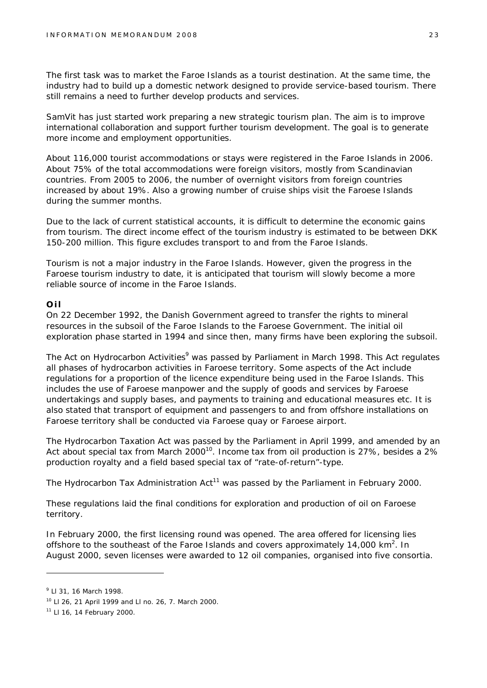The first task was to market the Faroe Islands as a tourist destination. At the same time, the industry had to build up a domestic network designed to provide service-based tourism. There still remains a need to further develop products and services.

SamVit has just started work preparing a new strategic tourism plan. The aim is to improve international collaboration and support further tourism development. The goal is to generate more income and employment opportunities.

About 116,000 tourist accommodations or stays were registered in the Faroe Islands in 2006. About 75% of the total accommodations were foreign visitors, mostly from Scandinavian countries. From 2005 to 2006, the number of overnight visitors from foreign countries increased by about 19%. Also a growing number of cruise ships visit the Faroese Islands during the summer months.

Due to the lack of current statistical accounts, it is difficult to determine the economic gains from tourism. The direct income effect of the tourism industry is estimated to be between DKK 150-200 million. This figure excludes transport to and from the Faroe Islands.

Tourism is not a major industry in the Faroe Islands. However, given the progress in the Faroese tourism industry to date, it is anticipated that tourism will slowly become a more reliable source of income in the Faroe Islands.

#### **Oil**

On 22 December 1992, the Danish Government agreed to transfer the rights to mineral resources in the subsoil of the Faroe Islands to the Faroese Government. The initial oil exploration phase started in 1994 and since then, many firms have been exploring the subsoil.

The Act on Hydrocarbon Activities<sup>9</sup> was passed by Parliament in March 1998. This Act regulates all phases of hydrocarbon activities in Faroese territory. Some aspects of the Act include regulations for a proportion of the licence expenditure being used in the Faroe Islands. This includes the use of Faroese manpower and the supply of goods and services by Faroese undertakings and supply bases, and payments to training and educational measures etc. It is also stated that transport of equipment and passengers to and from offshore installations on Faroese territory shall be conducted via Faroese quay or Faroese airport.

The Hydrocarbon Taxation Act was passed by the Parliament in April 1999, and amended by an Act about special tax from March  $2000^{10}$ . Income tax from oil production is 27%, besides a 2% production royalty and a field based special tax of "rate-of-return"-type.

The Hydrocarbon Tax Administration  $Act^{11}$  was passed by the Parliament in February 2000.

These regulations laid the final conditions for exploration and production of oil on Faroese territory.

In February 2000, the first licensing round was opened. The area offered for licensing lies offshore to the southeast of the Faroe Islands and covers approximately 14,000  $km^2$ . In August 2000, seven licenses were awarded to 12 oil companies, organised into five consortia.

<sup>9</sup> Ll 31, 16 March 1998.

<sup>10</sup> Ll 26, 21 April 1999 and Ll no. 26, 7. March 2000.

<sup>11</sup> Ll 16, 14 February 2000.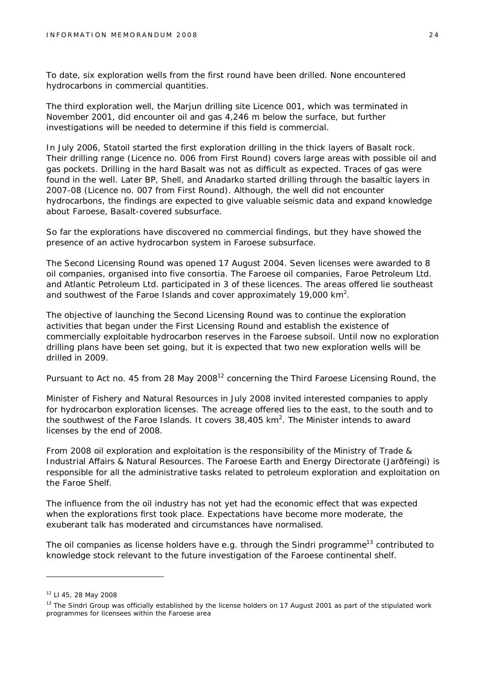To date, six exploration wells from the first round have been drilled. None encountered hydrocarbons in commercial quantities.

The third exploration well, the Marjun drilling site Licence 001, which was terminated in November 2001, did encounter oil and gas 4,246 m below the surface, but further investigations will be needed to determine if this field is commercial.

In July 2006, Statoil started the first exploration drilling in the thick layers of Basalt rock. Their drilling range (Licence no. 006 from First Round) covers large areas with possible oil and gas pockets. Drilling in the hard Basalt was not as difficult as expected. Traces of gas were found in the well. Later BP, Shell, and Anadarko started drilling through the basaltic layers in 2007-08 (Licence no. 007 from First Round). Although, the well did not encounter hydrocarbons, the findings are expected to give valuable seismic data and expand knowledge about Faroese, Basalt-covered subsurface.

So far the explorations have discovered no commercial findings, but they have showed the presence of an active hydrocarbon system in Faroese subsurface.

The Second Licensing Round was opened 17 August 2004. Seven licenses were awarded to 8 oil companies, organised into five consortia. The Faroese oil companies, Faroe Petroleum Ltd. and Atlantic Petroleum Ltd. participated in 3 of these licences. The areas offered lie southeast and southwest of the Faroe Islands and cover approximately 19,000  $km^2$ .

The objective of launching the Second Licensing Round was to continue the exploration activities that began under the First Licensing Round and establish the existence of commercially exploitable hydrocarbon reserves in the Faroese subsoil. Until now no exploration drilling plans have been set going, but it is expected that two new exploration wells will be drilled in 2009.

Pursuant to Act no. 45 from 28 May 2008<sup>12</sup> concerning the Third Faroese Licensing Round, the

Minister of Fishery and Natural Resources in July 2008 invited interested companies to apply for hydrocarbon exploration licenses. The acreage offered lies to the east, to the south and to the southwest of the Faroe Islands. It covers  $38,405$  km<sup>2</sup>. The Minister intends to award licenses by the end of 2008.

From 2008 oil exploration and exploitation is the responsibility of the Ministry of Trade & Industrial Affairs & Natural Resources. The Faroese Earth and Energy Directorate (Jarðfeingi) is responsible for all the administrative tasks related to petroleum exploration and exploitation on the Faroe Shelf.

The influence from the oil industry has not yet had the economic effect that was expected when the explorations first took place. Expectations have become more moderate, the exuberant talk has moderated and circumstances have normalised.

The oil companies as license holders have e.g. through the Sindri programme<sup>13</sup> contributed to knowledge stock relevant to the future investigation of the Faroese continental shelf.

<sup>12</sup> Ll 45, 28 May 2008

<sup>&</sup>lt;sup>13</sup> The Sindri Group was officially established by the license holders on 17 August 2001 as part of the stipulated work programmes for licensees within the Faroese area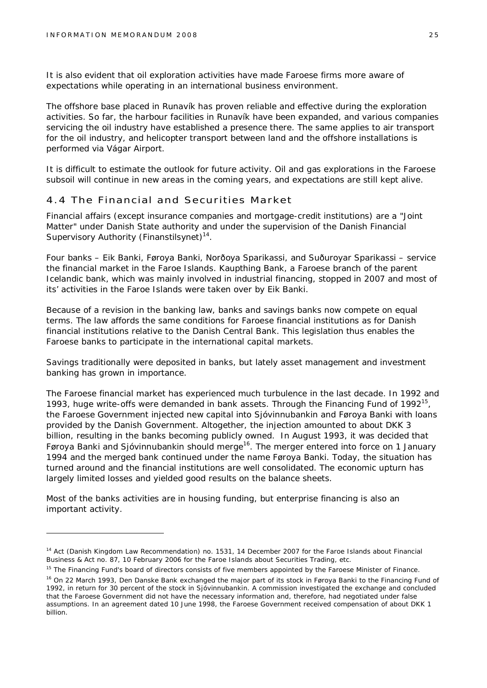It is also evident that oil exploration activities have made Faroese firms more aware of expectations while operating in an international business environment.

The offshore base placed in Runavík has proven reliable and effective during the exploration activities. So far, the harbour facilities in Runavík have been expanded, and various companies servicing the oil industry have established a presence there. The same applies to air transport for the oil industry, and helicopter transport between land and the offshore installations is performed via Vágar Airport.

It is difficult to estimate the outlook for future activity. Oil and gas explorations in the Faroese subsoil will continue in new areas in the coming years, and expectations are still kept alive.

#### 4.4 The Financial and Securities Market

Financial affairs (except insurance companies and mortgage-credit institutions) are a "Joint Matter" under Danish State authority and under the supervision of the Danish Financial Supervisory Authority (Finanstilsynet)<sup>14</sup>.

Four banks – Eik Banki, Føroya Banki, Norðoya Sparikassi, and Suðuroyar Sparikassi – service the financial market in the Faroe Islands. Kaupthing Bank, a Faroese branch of the parent Icelandic bank, which was mainly involved in industrial financing, stopped in 2007 and most of its' activities in the Faroe Islands were taken over by Eik Banki.

Because of a revision in the banking law, banks and savings banks now compete on equal terms. The law affords the same conditions for Faroese financial institutions as for Danish financial institutions relative to the Danish Central Bank. This legislation thus enables the Faroese banks to participate in the international capital markets.

Savings traditionally were deposited in banks, but lately asset management and investment banking has grown in importance.

The Faroese financial market has experienced much turbulence in the last decade. In 1992 and 1993, huge write-offs were demanded in bank assets. Through the Financing Fund of 1992<sup>15</sup>, the Faroese Government injected new capital into Sjóvinnubankin and Føroya Banki with loans provided by the Danish Government. Altogether, the injection amounted to about DKK 3 billion, resulting in the banks becoming publicly owned. In August 1993, it was decided that Føroya Banki and Sjóvinnubankin should merge<sup>16</sup>. The merger entered into force on 1 January 1994 and the merged bank continued under the name Føroya Banki. Today, the situation has turned around and the financial institutions are well consolidated. The economic upturn has largely limited losses and yielded good results on the balance sheets.

Most of the banks activities are in housing funding, but enterprise financing is also an important activity.

<sup>&</sup>lt;sup>14</sup> Act (Danish Kingdom Law Recommendation) no. 1531, 14 December 2007 for the Faroe Islands about Financial Business & Act no. 87, 10 February 2006 for the Faroe Islands about Securities Trading, etc.

<sup>&</sup>lt;sup>15</sup> The Financing Fund's board of directors consists of five members appointed by the Faroese Minister of Finance.

<sup>&</sup>lt;sup>16</sup> On 22 March 1993, Den Danske Bank exchanged the major part of its stock in Føroya Banki to the Financing Fund of 1992, in return for 30 percent of the stock in Sjóvinnubankin. A commission investigated the exchange and concluded that the Faroese Government did not have the necessary information and, therefore, had negotiated under false assumptions. In an agreement dated 10 June 1998, the Faroese Government received compensation of about DKK 1 billion.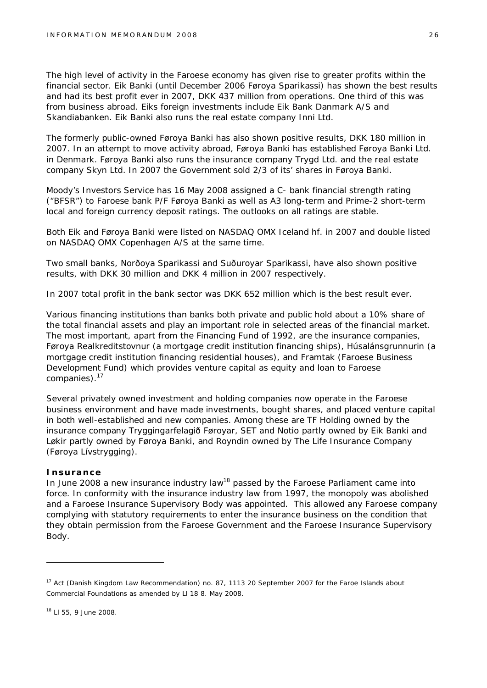The high level of activity in the Faroese economy has given rise to greater profits within the financial sector. Eik Banki (until December 2006 Føroya Sparikassi) has shown the best results and had its best profit ever in 2007, DKK 437 million from operations. One third of this was from business abroad. Eiks foreign investments include Eik Bank Danmark A/S and Skandiabanken. Eik Banki also runs the real estate company Inni Ltd.

The formerly public-owned Føroya Banki has also shown positive results, DKK 180 million in 2007. In an attempt to move activity abroad, Føroya Banki has established Føroya Banki Ltd. in Denmark. Føroya Banki also runs the insurance company Trygd Ltd. and the real estate company Skyn Ltd. In 2007 the Government sold 2/3 of its' shares in Føroya Banki.

Moody's Investors Service has 16 May 2008 assigned a C- bank financial strength rating ("BFSR") to Faroese bank P/F Føroya Banki as well as A3 long-term and Prime-2 short-term local and foreign currency deposit ratings. The outlooks on all ratings are stable.

Both Eik and Føroya Banki were listed on NASDAQ OMX Iceland hf. in 2007 and double listed on NASDAQ OMX Copenhagen A/S at the same time.

Two small banks, Norðoya Sparikassi and Suðuroyar Sparikassi, have also shown positive results, with DKK 30 million and DKK 4 million in 2007 respectively.

In 2007 total profit in the bank sector was DKK 652 million which is the best result ever.

Various financing institutions than banks both private and public hold about a 10% share of the total financial assets and play an important role in selected areas of the financial market. The most important, apart from the Financing Fund of 1992, are the insurance companies, Føroya Realkreditstovnur (a mortgage credit institution financing ships), Húsalánsgrunnurin (a mortgage credit institution financing residential houses), and Framtak (Faroese Business Development Fund) which provides venture capital as equity and loan to Faroese companies).<sup>17</sup>

Several privately owned investment and holding companies now operate in the Faroese business environment and have made investments, bought shares, and placed venture capital in both well-established and new companies. Among these are TF Holding owned by the insurance company Tryggingarfelagið Føroyar, SET and Notio partly owned by Eik Banki and Løkir partly owned by Føroya Banki, and Royndin owned by The Life Insurance Company (Føroya Lívstrygging).

#### **Insurance**

In June 2008 a new insurance industry law<sup>18</sup> passed by the Faroese Parliament came into force. In conformity with the insurance industry law from 1997, the monopoly was abolished and a Faroese Insurance Supervisory Body was appointed. This allowed any Faroese company complying with statutory requirements to enter the insurance business on the condition that they obtain permission from the Faroese Government and the Faroese Insurance Supervisory Body.

<sup>&</sup>lt;sup>17</sup> Act (Danish Kingdom Law Recommendation) no. 87, 1113 20 September 2007 for the Faroe Islands about Commercial Foundations as amended by Ll 18 8. May 2008.

<sup>18</sup> Ll 55, 9 June 2008.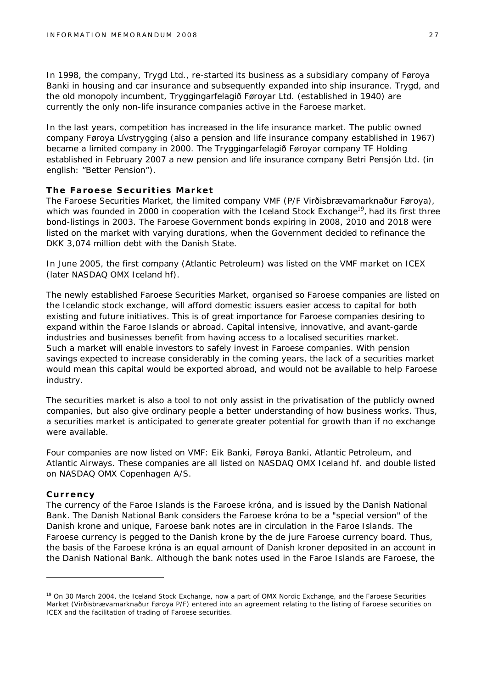In 1998, the company, Trygd Ltd., re-started its business as a subsidiary company of Føroya Banki in housing and car insurance and subsequently expanded into ship insurance. Trygd, and the old monopoly incumbent, Tryggingarfelagið Føroyar Ltd. (established in 1940) are currently the only non-life insurance companies active in the Faroese market.

In the last years, competition has increased in the life insurance market. The public owned company Føroya Lívstrygging (also a pension and life insurance company established in 1967) became a limited company in 2000. The Tryggingarfelagið Føroyar company TF Holding established in February 2007 a new pension and life insurance company Betri Pensjón Ltd. (in english: "Better Pension").

#### **The Faroese Securities Market**

The Faroese Securities Market, the limited company VMF (P/F Virðisbrævamarknaður Føroya), which was founded in 2000 in cooperation with the Iceland Stock Exchange<sup>19</sup>, had its first three bond-listings in 2003. The Faroese Government bonds expiring in 2008, 2010 and 2018 were listed on the market with varying durations, when the Government decided to refinance the DKK 3,074 million debt with the Danish State.

In June 2005, the first company (Atlantic Petroleum) was listed on the VMF market on ICEX (later NASDAQ OMX Iceland hf).

The newly established Faroese Securities Market, organised so Faroese companies are listed on the Icelandic stock exchange, will afford domestic issuers easier access to capital for both existing and future initiatives. This is of great importance for Faroese companies desiring to expand within the Faroe Islands or abroad. Capital intensive, innovative, and avant-garde industries and businesses benefit from having access to a localised securities market. Such a market will enable investors to safely invest in Faroese companies. With pension savings expected to increase considerably in the coming years, the lack of a securities market would mean this capital would be exported abroad, and would not be available to help Faroese industry.

The securities market is also a tool to not only assist in the privatisation of the publicly owned companies, but also give ordinary people a better understanding of how business works. Thus, a securities market is anticipated to generate greater potential for growth than if no exchange were available.

Four companies are now listed on VMF: Eik Banki, Føroya Banki, Atlantic Petroleum, and Atlantic Airways. These companies are all listed on NASDAQ OMX Iceland hf. and double listed on NASDAQ OMX Copenhagen A/S.

#### **Currency**

The currency of the Faroe Islands is the Faroese króna, and is issued by the Danish National Bank. The Danish National Bank considers the Faroese króna to be a "special version" of the Danish krone and unique, Faroese bank notes are in circulation in the Faroe Islands. The Faroese currency is pegged to the Danish krone by the *de jure* Faroese currency board. Thus, the basis of the Faroese króna is an equal amount of Danish kroner deposited in an account in the Danish National Bank. Although the bank notes used in the Faroe Islands are Faroese, the

<sup>&</sup>lt;sup>19</sup> On 30 March 2004, the Iceland Stock Exchange, now a part of OMX Nordic Exchange, and the Faroese Securities Market (Virðisbrævamarknaður Føroya P/F) entered into an agreement relating to the listing of Faroese securities on ICEX and the facilitation of trading of Faroese securities.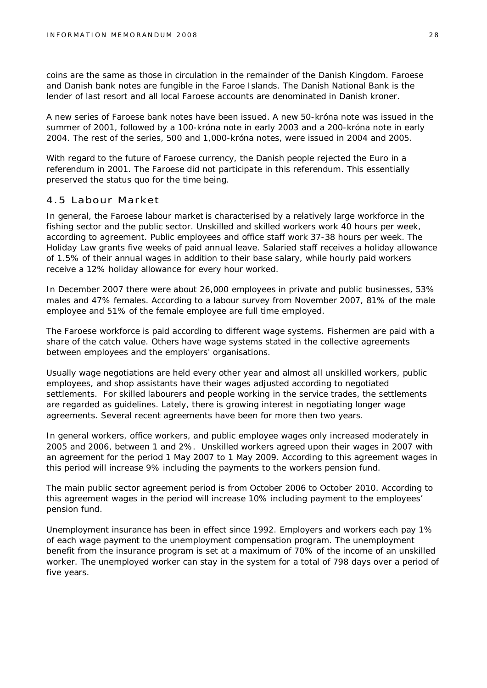coins are the same as those in circulation in the remainder of the Danish Kingdom. Faroese and Danish bank notes are fungible in the Faroe Islands. The Danish National Bank is the lender of last resort and all local Faroese accounts are denominated in Danish kroner.

A new series of Faroese bank notes have been issued. A new 50-króna note was issued in the summer of 2001, followed by a 100-króna note in early 2003 and a 200-króna note in early 2004. The rest of the series, 500 and 1,000-króna notes, were issued in 2004 and 2005.

With regard to the future of Faroese currency, the Danish people rejected the Euro in a referendum in 2001. The Faroese did not participate in this referendum. This essentially preserved the status quo for the time being.

#### 4.5 Labour Market

In general, the Faroese labour market is characterised by a relatively large workforce in the fishing sector and the public sector. Unskilled and skilled workers work 40 hours per week, according to agreement. Public employees and office staff work 37-38 hours per week. The Holiday Law grants five weeks of paid annual leave. Salaried staff receives a holiday allowance of 1.5% of their annual wages in addition to their base salary, while hourly paid workers receive a 12% holiday allowance for every hour worked.

In December 2007 there were about 26,000 employees in private and public businesses, 53% males and 47% females. According to a labour survey from November 2007, 81% of the male employee and 51% of the female employee are full time employed.

The Faroese workforce is paid according to different wage systems. Fishermen are paid with a share of the catch value. Others have wage systems stated in the collective agreements between employees and the employers' organisations.

Usually wage negotiations are held every other year and almost all unskilled workers, public employees, and shop assistants have their wages adjusted according to negotiated settlements. For skilled labourers and people working in the service trades, the settlements are regarded as guidelines. Lately, there is growing interest in negotiating longer wage agreements. Several recent agreements have been for more then two years.

In general workers, office workers, and public employee wages only increased moderately in 2005 and 2006, between 1 and 2%. Unskilled workers agreed upon their wages in 2007 with an agreement for the period 1 May 2007 to 1 May 2009. According to this agreement wages in this period will increase 9% including the payments to the workers pension fund.

The main public sector agreement period is from October 2006 to October 2010. According to this agreement wages in the period will increase 10% including payment to the employees' pension fund.

Unemployment insurance has been in effect since 1992. Employers and workers each pay 1% of each wage payment to the unemployment compensation program. The unemployment benefit from the insurance program is set at a maximum of 70% of the income of an unskilled worker. The unemployed worker can stay in the system for a total of 798 days over a period of five years.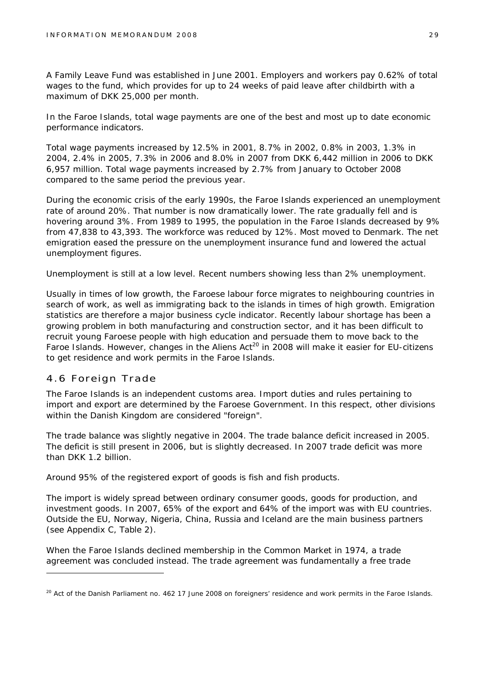A Family Leave Fund was established in June 2001. Employers and workers pay 0.62% of total wages to the fund, which provides for up to 24 weeks of paid leave after childbirth with a maximum of DKK 25,000 per month.

In the Faroe Islands, total wage payments are one of the best and most up to date economic performance indicators.

Total wage payments increased by 12.5% in 2001, 8.7% in 2002, 0.8% in 2003, 1.3% in 2004, 2.4% in 2005, 7.3% in 2006 and 8.0% in 2007 from DKK 6,442 million in 2006 to DKK 6,957 million. Total wage payments increased by 2.7% from January to October 2008 compared to the same period the previous year.

During the economic crisis of the early 1990s, the Faroe Islands experienced an unemployment rate of around 20%. That number is now dramatically lower. The rate gradually fell and is hovering around 3%. From 1989 to 1995, the population in the Faroe Islands decreased by 9% from 47,838 to 43,393. The workforce was reduced by 12%. Most moved to Denmark. The net emigration eased the pressure on the unemployment insurance fund and lowered the actual unemployment figures.

Unemployment is still at a low level. Recent numbers showing less than 2% unemployment.

Usually in times of low growth, the Faroese labour force migrates to neighbouring countries in search of work, as well as immigrating back to the islands in times of high growth. Emigration statistics are therefore a major business cycle indicator. Recently labour shortage has been a growing problem in both manufacturing and construction sector, and it has been difficult to recruit young Faroese people with high education and persuade them to move back to the Faroe Islands. However, changes in the Aliens Act<sup>20</sup> in 2008 will make it easier for EU-citizens to get residence and work permits in the Faroe Islands.

#### 4.6 Foreign Trade

The Faroe Islands is an independent customs area. Import duties and rules pertaining to import and export are determined by the Faroese Government. In this respect, other divisions within the Danish Kingdom are considered "foreign".

The trade balance was slightly negative in 2004. The trade balance deficit increased in 2005. The deficit is still present in 2006, but is slightly decreased. In 2007 trade deficit was more than DKK 1.2 billion

Around 95% of the registered export of goods is fish and fish products.

The import is widely spread between ordinary consumer goods, goods for production, and investment goods. In 2007, 65% of the export and 64% of the import was with EU countries. Outside the EU, Norway, Nigeria, China, Russia and Iceland are the main business partners (see Appendix C, Table 2).

When the Faroe Islands declined membership in the Common Market in 1974, a trade agreement was concluded instead. The trade agreement was fundamentally a free trade

<sup>&</sup>lt;sup>20</sup> Act of the Danish Parliament no. 462 17 June 2008 on foreigners' residence and work permits in the Faroe Islands.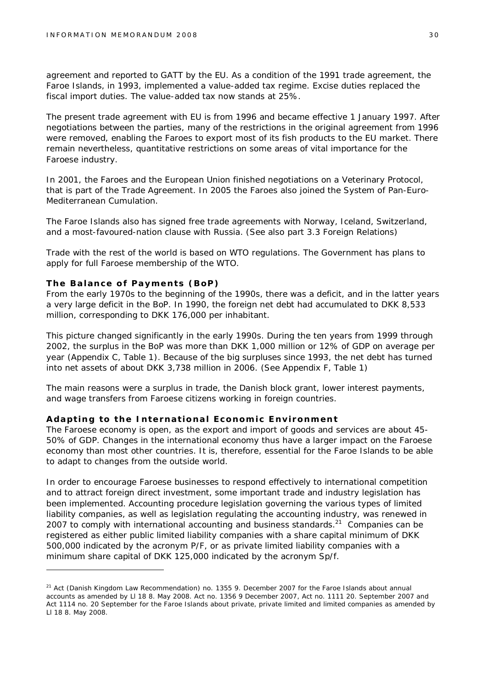agreement and reported to GATT by the EU. As a condition of the 1991 trade agreement, the Faroe Islands, in 1993, implemented a value-added tax regime. Excise duties replaced the fiscal import duties. The value-added tax now stands at 25%.

The present trade agreement with EU is from 1996 and became effective 1 January 1997. After negotiations between the parties, many of the restrictions in the original agreement from 1996 were removed, enabling the Faroes to export most of its fish products to the EU market. There remain nevertheless, quantitative restrictions on some areas of vital importance for the Faroese industry.

In 2001, the Faroes and the European Union finished negotiations on a Veterinary Protocol, that is part of the Trade Agreement. In 2005 the Faroes also joined the System of Pan-Euro-Mediterranean Cumulation.

The Faroe Islands also has signed free trade agreements with Norway, Iceland, Switzerland, and a most-favoured-nation clause with Russia. (See also part 3.3 Foreign Relations)

Trade with the rest of the world is based on WTO regulations. The Government has plans to apply for full Faroese membership of the WTO.

#### **The Balance of Payments (BoP)**

From the early 1970s to the beginning of the 1990s, there was a deficit, and in the latter years a very large deficit in the BoP. In 1990, the foreign net debt had accumulated to DKK 8,533 million, corresponding to DKK 176,000 per inhabitant.

This picture changed significantly in the early 1990s. During the ten years from 1999 through 2002, the surplus in the BoP was more than DKK 1,000 million or 12% of GDP on average per year (Appendix C, Table 1). Because of the big surpluses since 1993, the net debt has turned into net assets of about DKK 3,738 million in 2006. (See Appendix F, Table 1)

The main reasons were a surplus in trade, the Danish block grant, lower interest payments, and wage transfers from Faroese citizens working in foreign countries.

#### **Adapting to the International Economic Environment**

The Faroese economy is open, as the export and import of goods and services are about 45- 50% of GDP. Changes in the international economy thus have a larger impact on the Faroese economy than most other countries. It is, therefore, essential for the Faroe Islands to be able to adapt to changes from the outside world.

In order to encourage Faroese businesses to respond effectively to international competition and to attract foreign direct investment, some important trade and industry legislation has been implemented. Accounting procedure legislation governing the various types of limited liability companies, as well as legislation regulating the accounting industry, was renewed in 2007 to comply with international accounting and business standards.<sup>21</sup> Companies can be registered as either public limited liability companies with a share capital minimum of DKK 500,000 indicated by the acronym P/F, or as private limited liability companies with a minimum share capital of DKK 125,000 indicated by the acronym Sp/f.

<sup>&</sup>lt;sup>21</sup> Act (Danish Kingdom Law Recommendation) no. 1355 9. December 2007 for the Faroe Islands about annual accounts as amended by Ll 18 8. May 2008. Act no. 1356 9 December 2007, Act no. 1111 20. September 2007 and Act 1114 no. 20 September for the Faroe Islands about private, private limited and limited companies as amended by Ll 18 8. May 2008.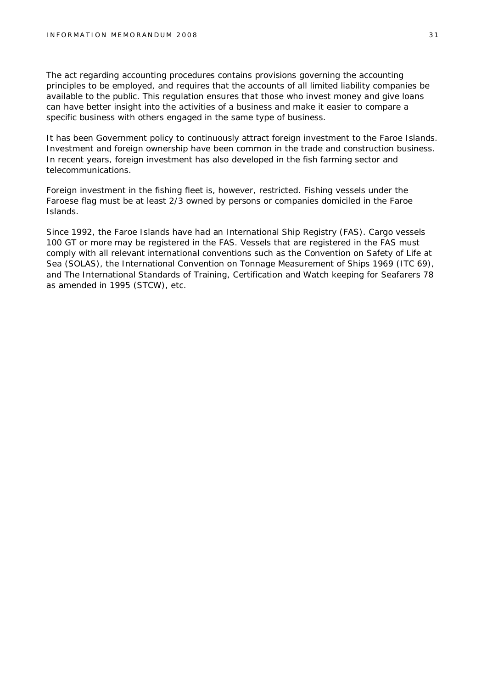The act regarding accounting procedures contains provisions governing the accounting principles to be employed, and requires that the accounts of all limited liability companies be available to the public. This regulation ensures that those who invest money and give loans can have better insight into the activities of a business and make it easier to compare a specific business with others engaged in the same type of business.

It has been Government policy to continuously attract foreign investment to the Faroe Islands. Investment and foreign ownership have been common in the trade and construction business. In recent years, foreign investment has also developed in the fish farming sector and telecommunications.

Foreign investment in the fishing fleet is, however, restricted. Fishing vessels under the Faroese flag must be at least 2/3 owned by persons or companies domiciled in the Faroe Islands.

Since 1992, the Faroe Islands have had an International Ship Registry (FAS). Cargo vessels 100 GT or more may be registered in the FAS. Vessels that are registered in the FAS must comply with all relevant international conventions such as the Convention on Safety of Life at Sea (SOLAS), the International Convention on Tonnage Measurement of Ships 1969 (ITC 69), and The International Standards of Training, Certification and Watch keeping for Seafarers 78 as amended in 1995 (STCW), etc.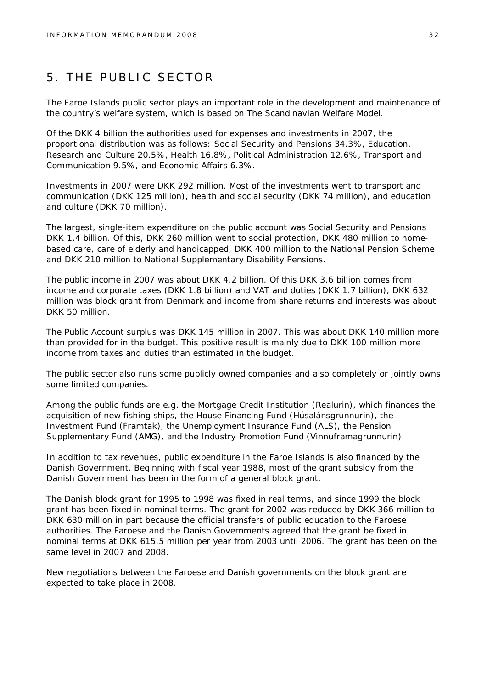## 5. THE PUBLIC SECTOR

The Faroe Islands public sector plays an important role in the development and maintenance of the country's welfare system, which is based on The Scandinavian Welfare Model.

Of the DKK 4 billion the authorities used for expenses and investments in 2007, the proportional distribution was as follows: Social Security and Pensions 34.3%, Education, Research and Culture 20.5%, Health 16.8%, Political Administration 12.6%, Transport and Communication 9.5%, and Economic Affairs 6.3%.

Investments in 2007 were DKK 292 million. Most of the investments went to transport and communication (DKK 125 million), health and social security (DKK 74 million), and education and culture (DKK 70 million).

The largest, single-item expenditure on the public account was Social Security and Pensions DKK 1.4 billion. Of this, DKK 260 million went to social protection, DKK 480 million to homebased care, care of elderly and handicapped, DKK 400 million to the National Pension Scheme and DKK 210 million to National Supplementary Disability Pensions.

The public income in 2007 was about DKK 4.2 billion. Of this DKK 3.6 billion comes from income and corporate taxes (DKK 1.8 billion) and VAT and duties (DKK 1.7 billion), DKK 632 million was block grant from Denmark and income from share returns and interests was about DKK 50 million.

The Public Account surplus was DKK 145 million in 2007. This was about DKK 140 million more than provided for in the budget. This positive result is mainly due to DKK 100 million more income from taxes and duties than estimated in the budget.

The public sector also runs some publicly owned companies and also completely or jointly owns some limited companies.

Among the public funds are e.g. the Mortgage Credit Institution (Realurin), which finances the acquisition of new fishing ships, the House Financing Fund (Húsalánsgrunnurin), the Investment Fund (Framtak), the Unemployment Insurance Fund (ALS), the Pension Supplementary Fund (AMG), and the Industry Promotion Fund (Vinnuframagrunnurin).

In addition to tax revenues, public expenditure in the Faroe Islands is also financed by the Danish Government. Beginning with fiscal year 1988, most of the grant subsidy from the Danish Government has been in the form of a general block grant.

The Danish block grant for 1995 to 1998 was fixed in real terms, and since 1999 the block grant has been fixed in nominal terms. The grant for 2002 was reduced by DKK 366 million to DKK 630 million in part because the official transfers of public education to the Faroese authorities. The Faroese and the Danish Governments agreed that the grant be fixed in nominal terms at DKK 615.5 million per year from 2003 until 2006. The grant has been on the same level in 2007 and 2008.

New negotiations between the Faroese and Danish governments on the block grant are expected to take place in 2008.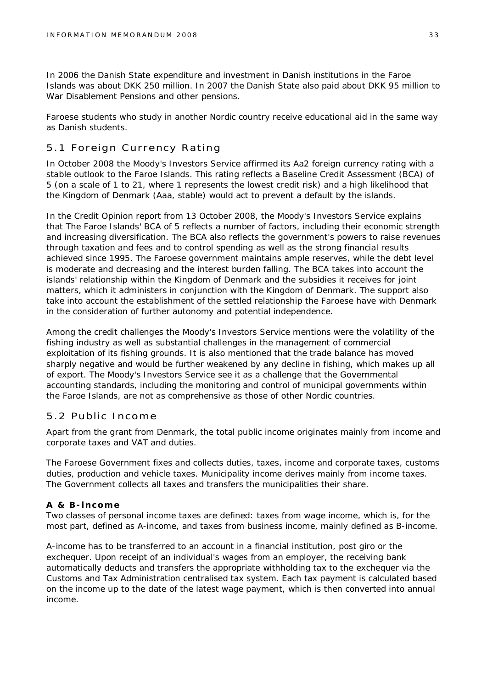In 2006 the Danish State expenditure and investment in Danish institutions in the Faroe Islands was about DKK 250 million. In 2007 the Danish State also paid about DKK 95 million to War Disablement Pensions and other pensions.

Faroese students who study in another Nordic country receive educational aid in the same way as Danish students.

#### 5.1 Foreign Currency Rating

In October 2008 the Moody's Investors Service affirmed its Aa2 foreign currency rating with a stable outlook to the Faroe Islands. This rating reflects a Baseline Credit Assessment (BCA) of 5 (on a scale of 1 to 21, where 1 represents the lowest credit risk) and a high likelihood that the Kingdom of Denmark (Aaa, stable) would act to prevent a default by the islands.

In the Credit Opinion report from 13 October 2008, the Moody's Investors Service explains that The Faroe Islands' BCA of 5 reflects a number of factors, including their economic strength and increasing diversification. The BCA also reflects the government's powers to raise revenues through taxation and fees and to control spending as well as the strong financial results achieved since 1995. The Faroese government maintains ample reserves, while the debt level is moderate and decreasing and the interest burden falling. The BCA takes into account the islands' relationship within the Kingdom of Denmark and the subsidies it receives for joint matters, which it administers in conjunction with the Kingdom of Denmark. The support also take into account the establishment of the settled relationship the Faroese have with Denmark in the consideration of further autonomy and potential independence.

Among the credit challenges the Moody's Investors Service mentions were the volatility of the fishing industry as well as substantial challenges in the management of commercial exploitation of its fishing grounds. It is also mentioned that the trade balance has moved sharply negative and would be further weakened by any decline in fishing, which makes up all of export. The Moody's Investors Service see it as a challenge that the Governmental accounting standards, including the monitoring and control of municipal governments within the Faroe Islands, are not as comprehensive as those of other Nordic countries.

#### 5.2 Public Income

Apart from the grant from Denmark, the total public income originates mainly from income and corporate taxes and VAT and duties.

The Faroese Government fixes and collects duties, taxes, income and corporate taxes, customs duties, production and vehicle taxes. Municipality income derives mainly from income taxes. The Government collects all taxes and transfers the municipalities their share.

#### **A & B-income**

Two classes of personal income taxes are defined: taxes from wage income, which is, for the most part, defined as A-income, and taxes from business income, mainly defined as B-income.

A-income has to be transferred to an account in a financial institution, post giro or the exchequer. Upon receipt of an individual's wages from an employer, the receiving bank automatically deducts and transfers the appropriate withholding tax to the exchequer via the Customs and Tax Administration centralised tax system. Each tax payment is calculated based on the income up to the date of the latest wage payment, which is then converted into annual income.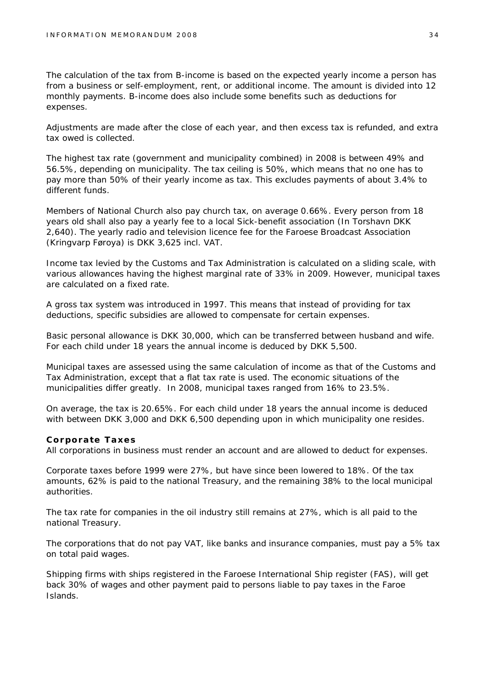The calculation of the tax from B-income is based on the expected yearly income a person has from a business or self-employment, rent, or additional income. The amount is divided into 12 monthly payments. B-income does also include some benefits such as deductions for expenses.

Adjustments are made after the close of each year, and then excess tax is refunded, and extra tax owed is collected.

The highest tax rate (government and municipality combined) in 2008 is between 49% and 56.5%, depending on municipality. The tax ceiling is 50%, which means that no one has to pay more than 50% of their yearly income as tax. This excludes payments of about 3.4% to different funds.

Members of National Church also pay church tax, on average 0.66%. Every person from 18 years old shall also pay a yearly fee to a local Sick-benefit association (In Torshavn DKK 2,640). The yearly radio and television licence fee for the Faroese Broadcast Association (Kringvarp Føroya) is DKK 3,625 incl. VAT.

Income tax levied by the Customs and Tax Administration is calculated on a sliding scale, with various allowances having the highest marginal rate of 33% in 2009. However, municipal taxes are calculated on a fixed rate.

A gross tax system was introduced in 1997. This means that instead of providing for tax deductions, specific subsidies are allowed to compensate for certain expenses.

Basic personal allowance is DKK 30,000, which can be transferred between husband and wife. For each child under 18 years the annual income is deduced by DKK 5,500.

Municipal taxes are assessed using the same calculation of income as that of the Customs and Tax Administration, except that a flat tax rate is used. The economic situations of the municipalities differ greatly. In 2008, municipal taxes ranged from 16% to 23.5%.

On average, the tax is 20.65%. For each child under 18 years the annual income is deduced with between DKK 3,000 and DKK 6,500 depending upon in which municipality one resides.

**Corporate Taxes**

All corporations in business must render an account and are allowed to deduct for expenses.

Corporate taxes before 1999 were 27%, but have since been lowered to 18%. Of the tax amounts, 62% is paid to the national Treasury, and the remaining 38% to the local municipal authorities.

The tax rate for companies in the oil industry still remains at 27%, which is all paid to the national Treasury.

The corporations that do not pay VAT, like banks and insurance companies, must pay a 5% tax on total paid wages.

Shipping firms with ships registered in the Faroese International Ship register (FAS), will get back 30% of wages and other payment paid to persons liable to pay taxes in the Faroe Islands.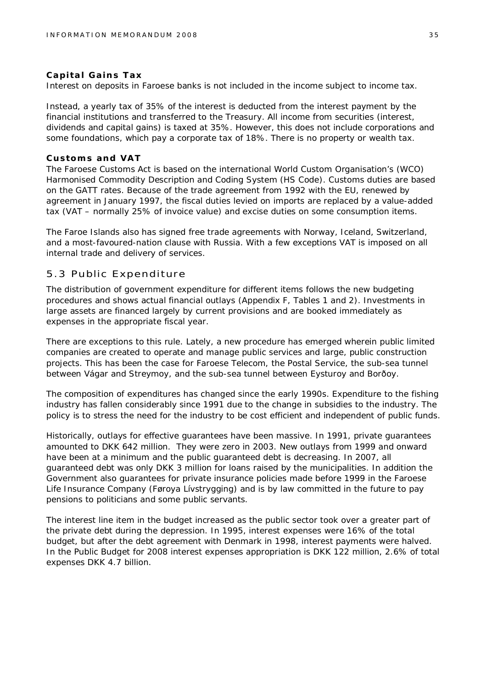#### **Capital Gains Tax**

Interest on deposits in Faroese banks is not included in the income subject to income tax.

Instead, a yearly tax of 35% of the interest is deducted from the interest payment by the financial institutions and transferred to the Treasury. All income from securities (interest, dividends and capital gains) is taxed at 35%. However, this does not include corporations and some foundations, which pay a corporate tax of 18%. There is no property or wealth tax.

#### **Customs and VAT**

The Faroese Customs Act is based on the international World Custom Organisation's (WCO) Harmonised Commodity Description and Coding System (HS Code). Customs duties are based on the GATT rates. Because of the trade agreement from 1992 with the EU, renewed by agreement in January 1997, the fiscal duties levied on imports are replaced by a value-added tax (VAT – normally 25% of invoice value) and excise duties on some consumption items.

The Faroe Islands also has signed free trade agreements with Norway, Iceland, Switzerland, and a most-favoured-nation clause with Russia. With a few exceptions VAT is imposed on all internal trade and delivery of services.

#### 5.3 Public Expenditure

The distribution of government expenditure for different items follows the new budgeting procedures and shows actual financial outlays (Appendix F, Tables 1 and 2). Investments in large assets are financed largely by current provisions and are booked immediately as expenses in the appropriate fiscal year.

There are exceptions to this rule. Lately, a new procedure has emerged wherein public limited companies are created to operate and manage public services and large, public construction projects. This has been the case for Faroese Telecom, the Postal Service, the sub-sea tunnel between Vágar and Streymoy, and the sub-sea tunnel between Eysturoy and Borðoy.

The composition of expenditures has changed since the early 1990s. Expenditure to the fishing industry has fallen considerably since 1991 due to the change in subsidies to the industry. The policy is to stress the need for the industry to be cost efficient and independent of public funds.

Historically, outlays for effective guarantees have been massive. In 1991, private guarantees amounted to DKK 642 million. They were zero in 2003. New outlays from 1999 and onward have been at a minimum and the public guaranteed debt is decreasing. In 2007, all guaranteed debt was only DKK 3 million for loans raised by the municipalities. In addition the Government also guarantees for private insurance policies made before 1999 in the Faroese Life Insurance Company (Føroya Lívstrygging) and is by law committed in the future to pay pensions to politicians and some public servants.

The interest line item in the budget increased as the public sector took over a greater part of the private debt during the depression. In 1995, interest expenses were 16% of the total budget, but after the debt agreement with Denmark in 1998, interest payments were halved. In the Public Budget for 2008 interest expenses appropriation is DKK 122 million, 2.6% of total expenses DKK 4.7 billion.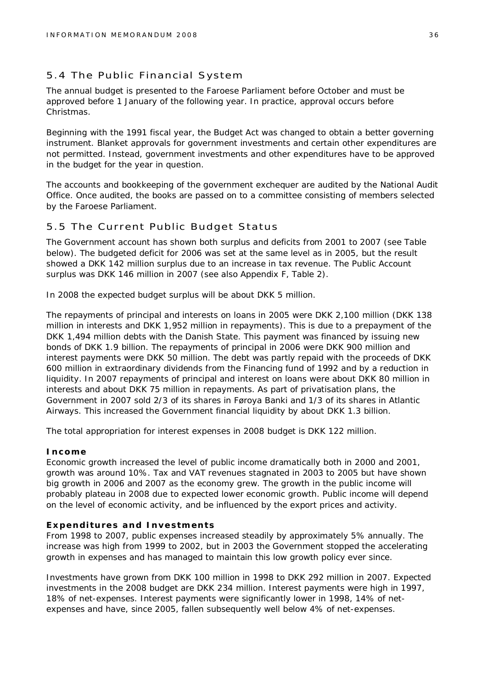#### 5.4 The Public Financial System

The annual budget is presented to the Faroese Parliament before October and must be approved before 1 January of the following year. In practice, approval occurs before Christmas.

Beginning with the 1991 fiscal year, the Budget Act was changed to obtain a better governing instrument. Blanket approvals for government investments and certain other expenditures are not permitted. Instead, government investments and other expenditures have to be approved in the budget for the year in question.

The accounts and bookkeeping of the government exchequer are audited by the National Audit Office. Once audited, the books are passed on to a committee consisting of members selected by the Faroese Parliament.

#### 5.5 The Current Public Budget Status

The Government account has shown both surplus and deficits from 2001 to 2007 (see Table below). The budgeted deficit for 2006 was set at the same level as in 2005, but the result showed a DKK 142 million surplus due to an increase in tax revenue. The Public Account surplus was DKK 146 million in 2007 (see also Appendix F, Table 2).

In 2008 the expected budget surplus will be about DKK 5 million.

The repayments of principal and interests on loans in 2005 were DKK 2,100 million (DKK 138 million in interests and DKK 1,952 million in repayments). This is due to a prepayment of the DKK 1,494 million debts with the Danish State. This payment was financed by issuing new bonds of DKK 1.9 billion. The repayments of principal in 2006 were DKK 900 million and interest payments were DKK 50 million. The debt was partly repaid with the proceeds of DKK 600 million in extraordinary dividends from the Financing fund of 1992 and by a reduction in liquidity. In 2007 repayments of principal and interest on loans were about DKK 80 million in interests and about DKK 75 million in repayments. As part of privatisation plans, the Government in 2007 sold 2/3 of its shares in Føroya Banki and 1/3 of its shares in Atlantic Airways. This increased the Government financial liquidity by about DKK 1.3 billion.

The total appropriation for interest expenses in 2008 budget is DKK 122 million.

#### **Income**

Economic growth increased the level of public income dramatically both in 2000 and 2001, growth was around 10%. Tax and VAT revenues stagnated in 2003 to 2005 but have shown big growth in 2006 and 2007 as the economy grew. The growth in the public income will probably plateau in 2008 due to expected lower economic growth. Public income will depend on the level of economic activity, and be influenced by the export prices and activity.

#### **Expenditures and Investments**

From 1998 to 2007, public expenses increased steadily by approximately 5% annually. The increase was high from 1999 to 2002, but in 2003 the Government stopped the accelerating growth in expenses and has managed to maintain this low growth policy ever since.

Investments have grown from DKK 100 million in 1998 to DKK 292 million in 2007. Expected investments in the 2008 budget are DKK 234 million. Interest payments were high in 1997, 18% of net-expenses. Interest payments were significantly lower in 1998, 14% of netexpenses and have, since 2005, fallen subsequently well below 4% of net-expenses.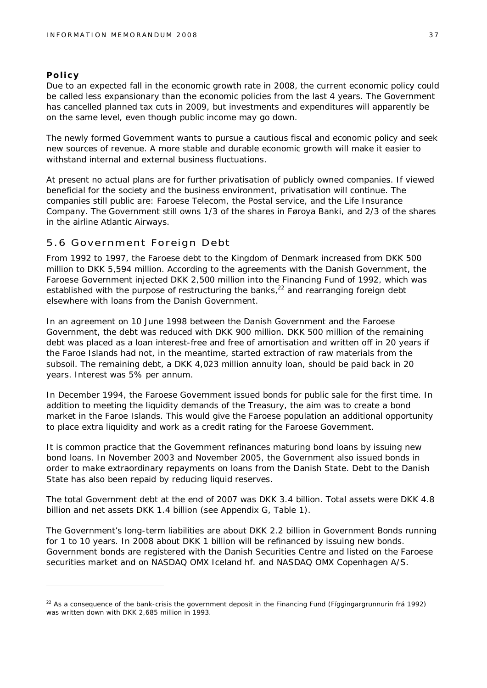#### **Policy**

Due to an expected fall in the economic growth rate in 2008, the current economic policy could be called less expansionary than the economic policies from the last 4 years. The Government has cancelled planned tax cuts in 2009, but investments and expenditures will apparently be on the same level, even though public income may go down.

The newly formed Government wants to pursue a cautious fiscal and economic policy and seek new sources of revenue. A more stable and durable economic growth will make it easier to withstand internal and external business fluctuations.

At present no actual plans are for further privatisation of publicly owned companies. If viewed beneficial for the society and the business environment, privatisation will continue. The companies still public are: Faroese Telecom, the Postal service, and the Life Insurance Company. The Government still owns 1/3 of the shares in Føroya Banki, and 2/3 of the shares in the airline Atlantic Airways.

#### 5.6 Government Foreign Debt

From 1992 to 1997, the Faroese debt to the Kingdom of Denmark increased from DKK 500 million to DKK 5,594 million. According to the agreements with the Danish Government, the Faroese Government injected DKK 2,500 million into the Financing Fund of 1992, which was established with the purpose of restructuring the banks, $22$  and rearranging foreign debt elsewhere with loans from the Danish Government.

In an agreement on 10 June 1998 between the Danish Government and the Faroese Government, the debt was reduced with DKK 900 million. DKK 500 million of the remaining debt was placed as a loan interest-free and free of amortisation and written off in 20 years if the Faroe Islands had not, in the meantime, started extraction of raw materials from the subsoil. The remaining debt, a DKK 4,023 million annuity loan, should be paid back in 20 years. Interest was 5% per annum.

In December 1994, the Faroese Government issued bonds for public sale for the first time. In addition to meeting the liquidity demands of the Treasury, the aim was to create a bond market in the Faroe Islands. This would give the Faroese population an additional opportunity to place extra liquidity and work as a credit rating for the Faroese Government.

It is common practice that the Government refinances maturing bond loans by issuing new bond loans. In November 2003 and November 2005, the Government also issued bonds in order to make extraordinary repayments on loans from the Danish State. Debt to the Danish State has also been repaid by reducing liquid reserves.

The total Government debt at the end of 2007 was DKK 3.4 billion. Total assets were DKK 4.8 billion and net assets DKK 1.4 billion (see Appendix G, Table 1).

The Government's long-term liabilities are about DKK 2.2 billion in Government Bonds running for 1 to 10 years. In 2008 about DKK 1 billion will be refinanced by issuing new bonds. Government bonds are registered with the Danish Securities Centre and listed on the Faroese securities market and on NASDAQ OMX Iceland hf. and NASDAQ OMX Copenhagen A/S.

 $^{22}$  As a consequence of the bank-crisis the government deposit in the Financing Fund (Fíggingargrunnurin frá 1992) was written down with DKK 2,685 million in 1993.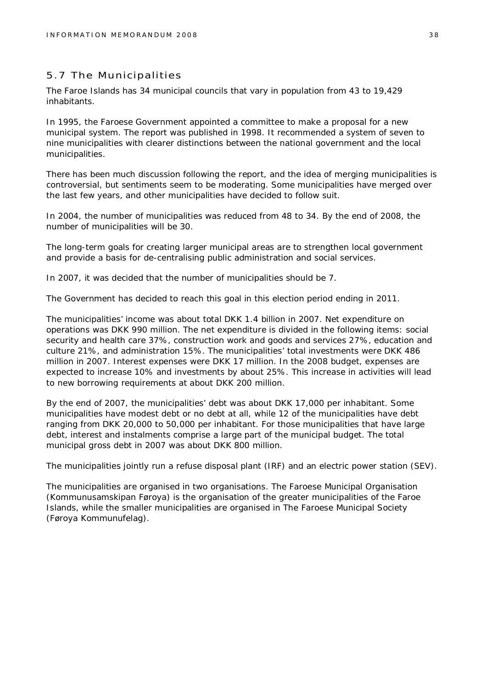#### 5.7 The Municipalities

The Faroe Islands has 34 municipal councils that vary in population from 43 to 19,429 inhabitants.

In 1995, the Faroese Government appointed a committee to make a proposal for a new municipal system. The report was published in 1998. It recommended a system of seven to nine municipalities with clearer distinctions between the national government and the local municipalities.

There has been much discussion following the report, and the idea of merging municipalities is controversial, but sentiments seem to be moderating. Some municipalities have merged over the last few years, and other municipalities have decided to follow suit.

In 2004, the number of municipalities was reduced from 48 to 34. By the end of 2008, the number of municipalities will be 30.

The long-term goals for creating larger municipal areas are to strengthen local government and provide a basis for de-centralising public administration and social services.

In 2007, it was decided that the number of municipalities should be 7.

The Government has decided to reach this goal in this election period ending in 2011.

The municipalities' income was about total DKK 1.4 billion in 2007. Net expenditure on operations was DKK 990 million. The net expenditure is divided in the following items: social security and health care 37%, construction work and goods and services 27%, education and culture 21%, and administration 15%. The municipalities' total investments were DKK 486 million in 2007. Interest expenses were DKK 17 million. In the 2008 budget, expenses are expected to increase 10% and investments by about 25%. This increase in activities will lead to new borrowing requirements at about DKK 200 million.

By the end of 2007, the municipalities' debt was about DKK 17,000 per inhabitant. Some municipalities have modest debt or no debt at all, while 12 of the municipalities have debt ranging from DKK 20,000 to 50,000 per inhabitant. For those municipalities that have large debt, interest and instalments comprise a large part of the municipal budget. The total municipal gross debt in 2007 was about DKK 800 million.

The municipalities jointly run a refuse disposal plant (IRF) and an electric power station (SEV).

The municipalities are organised in two organisations. The Faroese Municipal Organisation (Kommunusamskipan Føroya) is the organisation of the greater municipalities of the Faroe Islands, while the smaller municipalities are organised in The Faroese Municipal Society (Føroya Kommunufelag).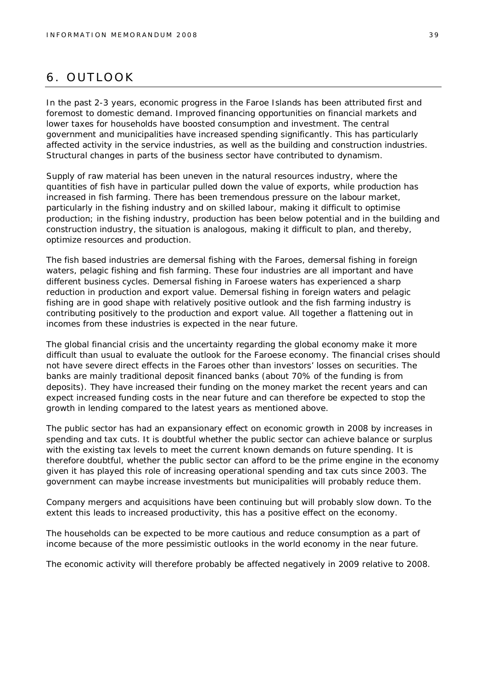## 6. OUTLOOK

In the past 2-3 years, economic progress in the Faroe Islands has been attributed first and foremost to domestic demand. Improved financing opportunities on financial markets and lower taxes for households have boosted consumption and investment. The central government and municipalities have increased spending significantly. This has particularly affected activity in the service industries, as well as the building and construction industries. Structural changes in parts of the business sector have contributed to dynamism.

Supply of raw material has been uneven in the natural resources industry, where the quantities of fish have in particular pulled down the value of exports, while production has increased in fish farming. There has been tremendous pressure on the labour market, particularly in the fishing industry and on skilled labour, making it difficult to optimise production; in the fishing industry, production has been below potential and in the building and construction industry, the situation is analogous, making it difficult to plan, and thereby, optimize resources and production.

The fish based industries are demersal fishing with the Faroes, demersal fishing in foreign waters, pelagic fishing and fish farming. These four industries are all important and have different business cycles. Demersal fishing in Faroese waters has experienced a sharp reduction in production and export value. Demersal fishing in foreign waters and pelagic fishing are in good shape with relatively positive outlook and the fish farming industry is contributing positively to the production and export value. All together a flattening out in incomes from these industries is expected in the near future.

The global financial crisis and the uncertainty regarding the global economy make it more difficult than usual to evaluate the outlook for the Faroese economy. The financial crises should not have severe direct effects in the Faroes other than investors' losses on securities. The banks are mainly traditional deposit financed banks (about 70% of the funding is from deposits). They have increased their funding on the money market the recent years and can expect increased funding costs in the near future and can therefore be expected to stop the growth in lending compared to the latest years as mentioned above.

The public sector has had an expansionary effect on economic growth in 2008 by increases in spending and tax cuts. It is doubtful whether the public sector can achieve balance or surplus with the existing tax levels to meet the current known demands on future spending. It is therefore doubtful, whether the public sector can afford to be the prime engine in the economy given it has played this role of increasing operational spending and tax cuts since 2003. The government can maybe increase investments but municipalities will probably reduce them.

Company mergers and acquisitions have been continuing but will probably slow down. To the extent this leads to increased productivity, this has a positive effect on the economy.

The households can be expected to be more cautious and reduce consumption as a part of income because of the more pessimistic outlooks in the world economy in the near future.

The economic activity will therefore probably be affected negatively in 2009 relative to 2008.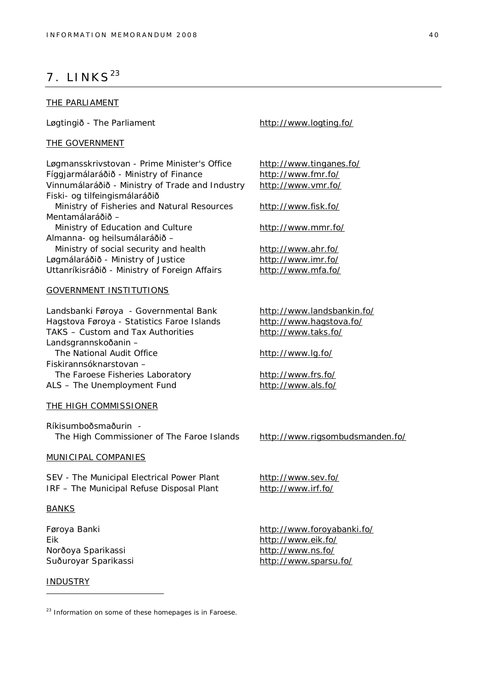## $7.$  LINKS<sup>23</sup>

#### THE PARLIAMENT

Løgtingið - The Parliament **<http://www.logting.fo/>** 

#### THE GOVERNMENT

Løgmansskrivstovan - Prime Minister's Office <http://www.tinganes.fo/> Fíggjarmálaráðið - Ministry of Finance <http://www.fmr.fo/> Vinnumálaráðið - Ministry of Trade and Industry <http://www.vmr.fo/> Fiski- og tilfeingismálaráðið Ministry of Fisheries and Natural Resources <http://www.fisk.fo/> Mentamálaráðið – Ministry of Education and Culture <http://www.mmr.fo/> Almanna- og heilsumálaráðið – Ministry of social security and health <http://www.ahr.fo/> Løgmálaráðið - Ministry of Justice <http://www.imr.fo/> Uttanríkisráðið - Ministry of Foreign Affairs <http://www.mfa.fo/>

#### GOVERNMENT INSTITUTIONS

Landsbanki Føroya - Governmental Bank <http://www.landsbankin.fo/> Hagstova Føroya - Statistics Faroe Islands <http://www.hagstova.fo/> TAKS – Custom and Tax Authorities <http://www.taks.fo/> Landsgrannskoðanin – The National Audit Office <http://www.lg.fo/> Fiskirannsóknarstovan – The Faroese Fisheries Laboratory <http://www.frs.fo/> ALS – The Unemployment Fund <http://www.als.fo/>

THE HIGH COMMISSIONER

Ríkisumboðsmaðurin The High Commissioner of The Faroe Islands <http://www.rigsombudsmanden.fo/>

#### MUNICIPAL COMPANIES

SEV - The Municipal Electrical Power Plant <http://www.sev.fo/> IRF – The Municipal Refuse Disposal Plant <http://www.irf.fo/>

#### BANKS

Eik <http://www.eik.fo/> Norðoya Sparikassi <http://www.ns.fo/>

#### INDUSTRY

Føroya Banki <http://www.foroyabanki.fo/> Suðuroyar Sparikassi <http://www.sparsu.fo/>

 $23$  Information on some of these homepages is in Faroese.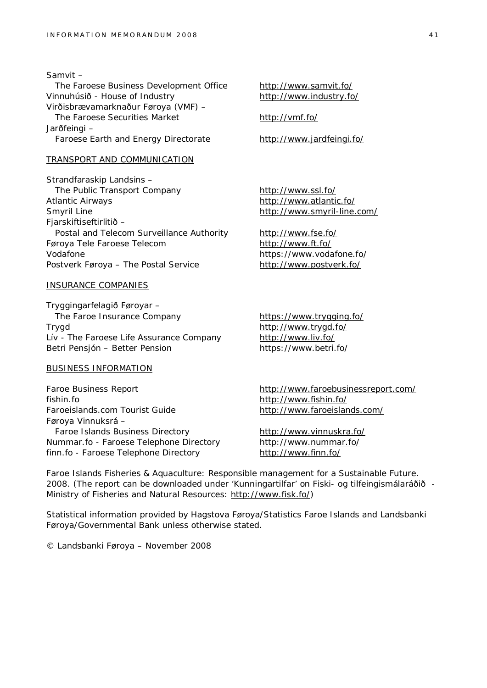Samvit – The Faroese Business Development Office <http://www.samvit.fo/> Vinnuhúsið - House of Industry <http://www.industry.fo/> Virðisbrævamarknaður Føroya (VMF) – The Faroese Securities Market <http://vmf.fo/> Jarðfeingi – Faroese Earth and Energy Directorate <http://www.jardfeingi.fo/>

#### TRANSPORT AND COMMUNICATION

Strandfaraskip Landsins – The Public Transport Company <http://www.ssl.fo/> Atlantic Airways <http://www.atlantic.fo/> Smyril Line **<http://www.smyril-line.com/>** Fjarskiftiseftirlitið – Postal and Telecom Surveillance Authority <http://www.fse.fo/> Føroya Tele Faroese Telecom <http://www.ft.fo/> Vodafone <https://www.vodafone.fo/> Postverk Føroya – The Postal Service <http://www.postverk.fo/>

#### INSURANCE COMPANIES

Tryggingarfelagið Føroyar – The Faroe Insurance Company <https://www.trygging.fo/> Trygd <http://www.trygd.fo/> Lív - The Faroese Life Assurance Company <http://www.liv.fo/> Betri Pensjón – Better Pension <https://www.betri.fo/>

#### BUSINESS INFORMATION

Faroe Business Report <http://www.faroebusinessreport.com/> fishin.fo <http://www.fishin.fo/> Faroeislands.com Tourist Guide <http://www.faroeislands.com/> Føroya Vinnuksrá – Faroe Islands Business Directory <http://www.vinnuskra.fo/> Nummar.fo - Faroese Telephone Directory <http://www.nummar.fo/> finn.fo - Faroese Telephone Directory <http://www.finn.fo/>

Faroe Islands Fisheries & Aquaculture: Responsible management for a Sustainable Future. 2008. (The report can be downloaded under 'Kunningartilfar' on Fiski- og tilfeingismálaráðið - Ministry of Fisheries and Natural Resources: [http://www.fisk.fo/\)](http://www.fisk.fo/))

Statistical information provided by Hagstova Føroya/Statistics Faroe Islands and Landsbanki Føroya/Governmental Bank unless otherwise stated.

© Landsbanki Føroya – November 2008